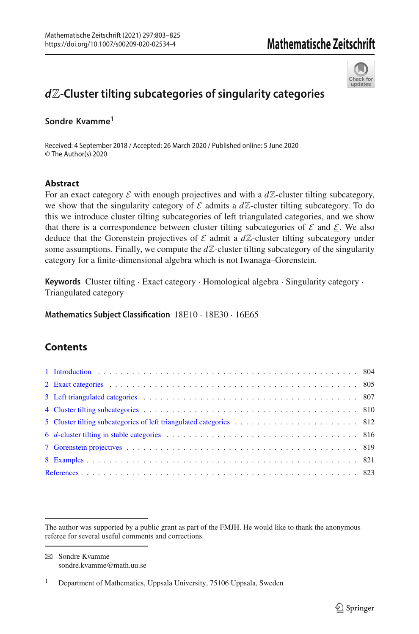

# *d*Z**-Cluster tilting subcategories of singularity categories**

#### **Sondre Kvamme<sup>1</sup>**

Received: 4 September 2018 / Accepted: 26 March 2020 / Published online: 5 June 2020 © The Author(s) 2020

#### **Abstract**

For an exact category  $\mathcal E$  with enough projectives and with a  $d\mathbb Z$ -cluster tilting subcategory, we show that the singularity category of  $\mathcal E$  admits a  $d\mathbb Z$ -cluster tilting subcategory. To do this we introduce cluster tilting subcategories of left triangulated categories, and we show that there is a correspondence between cluster tilting subcategories of  $\mathcal E$  and  $\mathcal E$ . We also deduce that the Gorenstein projectives of  $\mathcal E$  admit a  $d\mathbb Z$ -cluster tilting subcategory under some assumptions. Finally, we compute the  $d\mathbb{Z}$ -cluster tilting subcategory of the singularity category for a finite-dimensional algebra which is not Iwanaga–Gorenstein.

**Keywords** Cluster tilting · Exact category · Homological algebra · Singularity category · Triangulated category

**Mathematics Subject Classification** 18E10 · 18E30 · 16E65

# **Contents**

 $\boxtimes$  Sondre Kvamme sondre.kvamme@math.uu.se

The author was supported by a public grant as part of the FMJH. He would like to thank the anonymous referee for several useful comments and corrections.

<sup>&</sup>lt;sup>1</sup> Department of Mathematics, Uppsala University, 75106 Uppsala, Sweden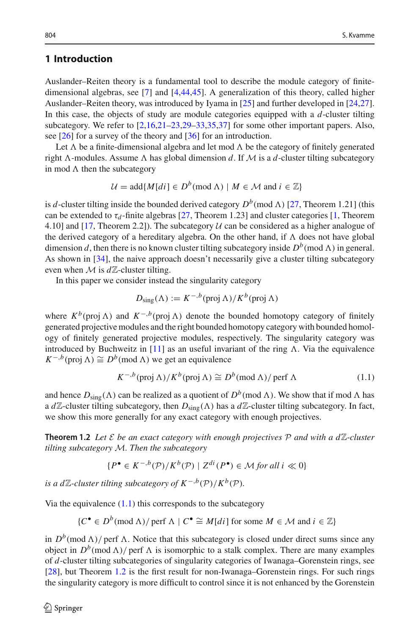#### <span id="page-1-0"></span>**1 Introduction**

Auslander–Reiten theory is a fundamental tool to describe the module category of finitedimensional algebras, see [\[7\]](#page-20-1) and [\[4](#page-20-2)[,44](#page-22-0)[,45](#page-22-1)]. A generalization of this theory, called higher Auslander–Reiten theory, was introduced by Iyama in [\[25](#page-21-0)] and further developed in [\[24](#page-21-1)[,27\]](#page-21-2). In this case, the objects of study are module categories equipped with a *d*-cluster tilting subcategory. We refer to [\[2](#page-20-3)[,16](#page-21-3)[,21](#page-21-4)[–23](#page-21-5)[,29](#page-21-6)[–33](#page-21-7)[,35](#page-21-8)[,37\]](#page-21-9) for some other important papers. Also, see [\[26](#page-21-10)] for a survey of the theory and [\[36](#page-21-11)] for an introduction.

Let  $\Lambda$  be a finite-dimensional algebra and let mod  $\Lambda$  be the category of finitely generated right  $\Lambda$ -modules. Assume  $\Lambda$  has global dimension *d*. If  $M$  is a *d*-cluster tilting subcategory in mod  $\Lambda$  then the subcategory

$$
\mathcal{U} = \text{add}\{M[di] \in D^b(\text{mod }\Lambda) \mid M \in \mathcal{M} \text{ and } i \in \mathbb{Z}\}\
$$

is *d*-cluster tilting inside the bounded derived category  $D^b$ (mod  $\Lambda$ ) [\[27,](#page-21-2) Theorem 1.21] (this can be extended to  $\tau_d$ -finite algebras [\[27,](#page-21-2) Theorem 1.23] and cluster categories [\[1](#page-20-4), Theorem 4.10] and  $[17,$  Theorem 2.2]). The subcategory  $U$  can be considered as a higher analogue of the derived category of a hereditary algebra. On the other hand, if  $\Lambda$  does not have global dimension *d*, then there is no known cluster tilting subcategory inside  $D^b(\text{mod }\Lambda)$  in general. As shown in [\[34](#page-21-13)], the naive approach doesn't necessarily give a cluster tilting subcategory even when  $M$  is  $d\mathbb{Z}$ -cluster tilting.

In this paper we consider instead the singularity category

$$
D_{\text{sing}}(\Lambda) := K^{-,b} (\operatorname{proj} \Lambda) / K^b (\operatorname{proj} \Lambda)
$$

where  $K^b$ (proj  $\Lambda$ ) and  $K^{-,b}$ (proj  $\Lambda$ ) denote the bounded homotopy category of finitely generated projective modules and the right bounded homotopy category with bounded homology of finitely generated projective modules, respectively. The singularity category was introduced by Buchweitz in [\[11\]](#page-21-14) as an useful invariant of the ring  $\Lambda$ . Via the equivalence  $K^{-,b}$ (proj  $\Lambda$ )  $\cong D^b \text{ (mod } \Lambda)$  we get an equivalence

<span id="page-1-1"></span>
$$
K^{-,b}(\text{proj }\Lambda)/K^b(\text{proj }\Lambda) \cong D^b(\text{mod }\Lambda)/\text{perf }\Lambda \tag{1.1}
$$

and hence  $D_{\text{sing}}(\Lambda)$  can be realized as a quotient of  $D^b(\text{mod }\Lambda)$ . We show that if mod  $\Lambda$  has a  $d\mathbb{Z}$ -cluster tilting subcategory, then  $D_{sing}(\Lambda)$  has a  $d\mathbb{Z}$ -cluster tilting subcategory. In fact, we show this more generally for any exact category with enough projectives.

<span id="page-1-2"></span>**Theorem 1.2** Let  $\mathcal E$  be an exact category with enough projectives  $\mathcal P$  and with a d $\mathbb Z$ -cluster *tilting subcategory M. Then the subcategory*

$$
\{P^{\bullet} \in K^{-,b}(\mathcal{P})/K^b(\mathcal{P}) \mid Z^{di}(P^{\bullet}) \in \mathcal{M} \text{ for all } i \ll 0\}
$$

*is a d* $\mathbb{Z}$ -*cluster tilting subcategory of*  $K^{-,b}(\mathcal{P})/K^{b}(\mathcal{P})$ *.* 

Via the equivalence  $(1.1)$  this corresponds to the subcategory

$$
{C^{\bullet} \in D^b(\text{mod }\Lambda) / \text{perf }\Lambda \mid C^{\bullet} \cong M[d_i] \text{ for some } M \in \mathcal{M} \text{ and } i \in \mathbb{Z}}
$$

in  $D^b(\text{mod }\Lambda)/$  perf  $\Lambda$ . Notice that this subcategory is closed under direct sums since any object in  $D^b(\text{mod }\Lambda)/$  perf  $\Lambda$  is isomorphic to a stalk complex. There are many examples of *d*-cluster tilting subcategories of singularity categories of Iwanaga–Gorenstein rings, see [\[28\]](#page-21-15), but Theorem [1.2](#page-1-2) is the first result for non-Iwanaga–Gorenstein rings. For such rings the singularity category is more difficult to control since it is not enhanced by the Gorenstein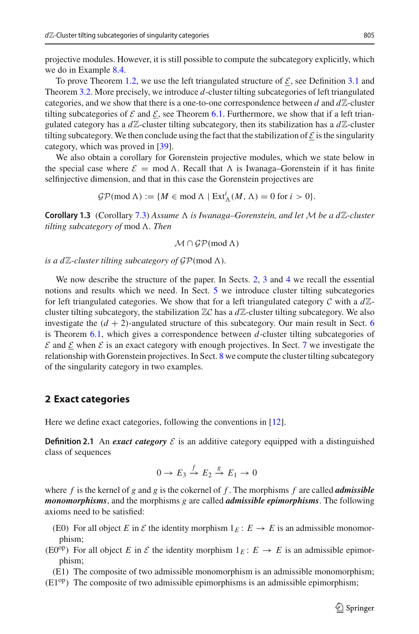projective modules. However, it is still possible to compute the subcategory explicitly, which we do in Example [8.4.](#page-19-0)

To prove Theorem [1.2,](#page-1-2) we use the left triangulated structure of  $\mathcal{E}$ , see Definition [3.1](#page-4-1) and Theorem [3.2.](#page-5-0) More precisely, we introduce *d*-cluster tilting subcategories of left triangulated categories, and we show that there is a one-to-one correspondence between  $d$  and  $d\mathbb{Z}$ -cluster tilting subcategories of  $\mathcal E$  and  $\mathcal E$ , see Theorem [6.1.](#page-13-1) Furthermore, we show that if a left triangulated category has a  $d\mathbb{Z}$ -cluster tilting subcategory, then its stabilization has a  $d\mathbb{Z}$ -cluster tilting subcategory. We then conclude using the fact that the stabilization of  $\mathcal E$  is the singularity category, which was proved in [\[39\]](#page-21-16).

We also obtain a corollary for Gorenstein projective modules, which we state below in the special case where  $\mathcal{E} = \text{mod } \Lambda$ . Recall that  $\Lambda$  is Iwanaga–Gorenstein if it has finite selfinjective dimension, and that in this case the Gorenstein projectives are

 $\mathcal{GP}(\text{mod }\Lambda) := \{M \in \text{mod }\Lambda \mid \text{Ext}^i_{\Lambda}(M, \Lambda) = 0 \text{ for } i > 0\}.$ 

**Corollary 1.3** (Corollary [7.3\)](#page-17-0) Assume  $\Lambda$  is Iwanaga–Gorenstein, and let M be a dZ-cluster tilting subcategory of mod  $\Lambda$ *. Then* 

 $\mathcal{M} \cap \mathcal{GP}(\text{mod } \Lambda)$ 

*is a dZ-cluster tilting subcategory of*  $\mathcal{GP}(\text{mod }\Lambda)$ *.* 

We now describe the structure of the paper. In Sects. [2,](#page-2-0) [3](#page-4-0) and [4](#page-7-0) we recall the essential notions and results which we need. In Sect. [5](#page-9-0) we introduce cluster tilting subcategories for left triangulated categories. We show that for a left triangulated category  $\mathcal C$  with a  $d\mathbb Z$ cluster tilting subcategory, the stabilization  $\mathbb{Z}C$  has a  $d\mathbb{Z}$ -cluster tilting subcategory. We also investigate the  $(d + 2)$ -angulated structure of this subcategory. Our main result in Sect. [6](#page-13-0) is Theorem [6.1,](#page-13-1) which gives a correspondence between *d*-cluster tilting subcategories of  $\mathcal E$  and  $\mathcal E$  when  $\mathcal E$  is an exact category with enough projectives. In Sect. [7](#page-16-0) we investigate the relationship with Gorenstein projectives. In Sect. [8](#page-18-0) we compute the cluster tilting subcategory of the singularity category in two examples.

#### <span id="page-2-0"></span>**2 Exact categories**

Here we define exact categories, following the conventions in [\[12\]](#page-21-17).

**Definition 2.1** An *exact category*  $\mathcal{E}$  is an additive category equipped with a distinguished class of sequences

$$
0 \to E_3 \xrightarrow{f} E_2 \xrightarrow{g} E_1 \to 0
$$

where *f* is the kernel of *g* and *g* is the cokernel of *f* . The morphisms *f* are called *admissible monomorphisms*, and the morphisms *g* are called *admissible epimorphisms*. The following axioms need to be satisfied:

- (E0) For all object *E* in *E* the identity morphism  $1_E : E \to E$  is an admissible monomorphism;
- (E0<sup>op</sup>) For all object *E* in *E* the identity morphism  $1_E: E \to E$  is an admissible epimorphism;

(E1) The composite of two admissible monomorphism is an admissible monomorphism;

 $(E1^{op})$  The composite of two admissible epimorphisms is an admissible epimorphism;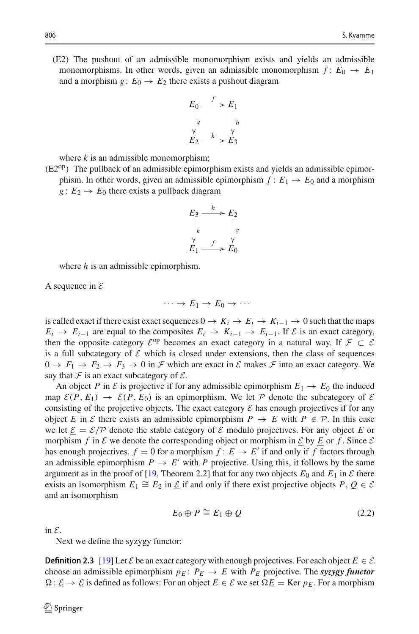(E2) The pushout of an admissible monomorphism exists and yields an admissible monomorphisms. In other words, given an admissible monomorphism  $f: E_0 \to E_1$ and a morphism  $g: E_0 \to E_2$  there exists a pushout diagram



where  $k$  is an admissible monomorphism;

 $(E2^{op})$  The pullback of an admissible epimorphism exists and yields an admissible epimorphism. In other words, given an admissible epimorphism  $f: E_1 \rightarrow E_0$  and a morphism  $g: E_2 \rightarrow E_0$  there exists a pullback diagram



where *h* is an admissible epimorphism.

A sequence in *E*

$$
\cdots \to E_1 \to E_0 \to \cdots
$$

is called exact if there exist exact sequences  $0 \rightarrow K_i \rightarrow E_i \rightarrow K_{i-1} \rightarrow 0$  such that the maps  $E_i \rightarrow E_{i-1}$  are equal to the composites  $E_i \rightarrow K_{i-1} \rightarrow E_{i-1}$ . If  $\mathcal E$  is an exact category, then the opposite category  $\mathcal{E}^{op}$  becomes an exact category in a natural way. If  $\mathcal{F} \subset \mathcal{E}$ is a full subcategory of  $\mathcal E$  which is closed under extensions, then the class of sequences  $0 \to F_1 \to F_2 \to F_3 \to 0$  in *F* which are exact in *E* makes *F* into an exact category. We say that  $F$  is an exact subcategory of  $E$ .

An object *P* in *E* is projective if for any admissible epimorphism  $E_1 \rightarrow E_0$  the induced map  $\mathcal{E}(P, E_1) \rightarrow \mathcal{E}(P, E_0)$  is an epimorphism. We let  $P$  denote the subcategory of  $\mathcal{E}$ consisting of the projective objects. The exact category  $\mathcal E$  has enough projectives if for any object *E* in *E* there exists an admissible epimorphism  $P \rightarrow E$  with  $P \in \mathcal{P}$ . In this case we let  $\mathcal{E} = \mathcal{E}/\mathcal{P}$  denote the stable category of  $\mathcal E$  modulo projectives. For any object *E* or morphism *f* in *E* we denote the corresponding object or morphism in  $\underline{\mathcal{E}}$  by  $\underline{\mathcal{E}}$  or *f*. Since  $\mathcal{E}$ has enough projectives,  $f = 0$  for a morphism  $f : E \to E'$  if and only if f factors through an admissible epimorphism  $P \to E'$  with *P* projective. Using this, it follows by the same argument as in the proof of [\[19](#page-21-18), Theorem 2.2] that for any two objects  $E_0$  and  $E_1$  in  $\mathcal E$  there exists an isomorphism  $E_1 \cong E_2$  in  $\underline{\mathcal{E}}$  if and only if there exist projective objects  $P, Q \in \mathcal{E}$ and an isomorphism

<span id="page-3-0"></span>
$$
E_0 \oplus P \cong E_1 \oplus Q \tag{2.2}
$$

in *E*.

Next we define the syzygy functor:

**Definition 2.3** [\[19](#page-21-18)] Let *E* be an exact category with enough projectives. For each object  $E \in \mathcal{E}$ choose an admissible epimorphism  $p_E$ :  $P_E \rightarrow E$  with  $P_E$  projective. The *syzygy functor*  $\Omega: \underline{\mathcal{E}} \to \underline{\mathcal{E}}$  is defined as follows: For an object  $E \in \mathcal{E}$  we set  $\Omega \underline{E} = \text{Ker } p_E$ . For a morphism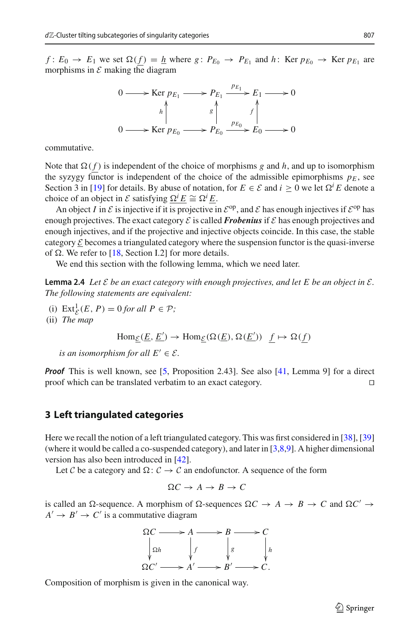*f* :  $E_0 \rightarrow E_1$  we set  $\Omega(f) = h$  where  $g: P_{E_0} \rightarrow P_{E_1}$  and  $h: \text{Ker } p_{E_0} \rightarrow \text{Ker } p_{E_1}$  are morphisms in  $\mathcal E$  making the diagram



commutative.

Note that  $\Omega(f)$  is independent of the choice of morphisms *g* and *h*, and up to isomorphism the syzygy functor is independent of the choice of the admissible epimorphisms  $p_E$ , see Section 3 in [\[19](#page-21-18)] for details. By abuse of notation, for  $E \in \mathcal{E}$  and  $i \geq 0$  we let  $\Omega^{i} E$  denote a choice of an object in *E* satisfying  $\Omega^i E \cong \Omega^i E$ .

An object *I* in  $\mathcal E$  is injective if it is projective in  $\mathcal E^{op}$ , and  $\mathcal E$  has enough injectives if  $\mathcal E^{op}$  has enough projectives. The exact category  $\mathcal E$  is called **Frobenius** if  $\mathcal E$  has enough projectives and enough injectives, and if the projective and injective objects coincide. In this case, the stable category  $\mathcal E$  becomes a triangulated category where the suspension functor is the quasi-inverse of  $\Omega$ . We refer to [\[18,](#page-21-19) Section I.2] for more details.

<span id="page-4-2"></span>We end this section with the following lemma, which we need later.

**Lemma 2.4** *Let*  $\mathcal E$  *be an exact category with enough projectives, and let*  $E$  *be an object in*  $\mathcal E$ *. The following statements are equivalent:*

(i)  $\text{Ext}_{\mathcal{E}}^1(E, P) = 0$  *for all*  $P \in \mathcal{P}$ *;*<br>*The TI* (ii) *The map*

$$
\text{Hom}_{\underline{\mathcal{E}}}(\underline{E}, \underline{E}') \to \text{Hom}_{\underline{\mathcal{E}}}(\Omega(\underline{E}), \Omega(\underline{E}')) \underline{f} \mapsto \Omega(\underline{f})
$$

*is an isomorphism for all*  $E' \in \mathcal{E}$ *.* 

*Proof* This is well known, see [\[5](#page-20-5), Proposition 2.43]. See also [\[41](#page-21-20), Lemma 9] for a direct proof which can be translated verbatim to an exact category. 

#### <span id="page-4-0"></span>**3 Left triangulated categories**

Here we recall the notion of a left triangulated category. This was first considered in [\[38](#page-21-21)], [\[39\]](#page-21-16) (where it would be called a co-suspended category), and later in  $[3,8,9]$  $[3,8,9]$  $[3,8,9]$  $[3,8,9]$ . A higher dimensional version has also been introduced in [\[42](#page-21-23)].

Let *C* be a category and  $\Omega: \mathcal{C} \to \mathcal{C}$  an endofunctor. A sequence of the form

$$
\Omega C \to A \to B \to C
$$

is called an  $\Omega$ -sequence. A morphism of  $\Omega$ -sequences  $\Omega C \rightarrow A \rightarrow B \rightarrow C$  and  $\Omega C' \rightarrow$  $A' \rightarrow B' \rightarrow C'$  is a commutative diagram



<span id="page-4-1"></span>Composition of morphism is given in the canonical way.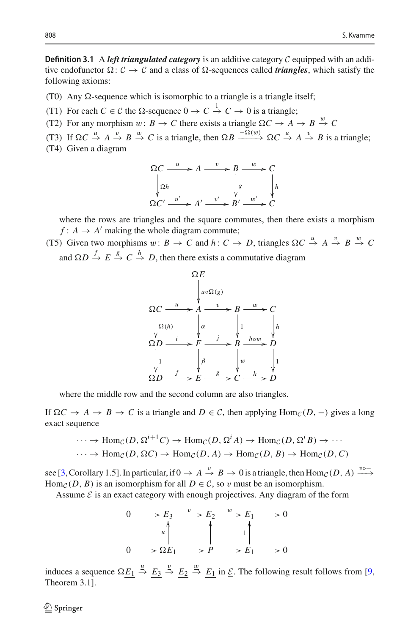**Definition 3.1** A *left triangulated category* is an additive category *C* equipped with an additive endofunctor  $\Omega: \mathcal{C} \to \mathcal{C}$  and a class of  $\Omega$ -sequences called *triangles*, which satisfy the following axioms:

- (T0) Any  $\Omega$ -sequence which is isomorphic to a triangle is a triangle itself;
- (T1) For each  $C \in \mathcal{C}$  the  $\Omega$ -sequence  $0 \to C \stackrel{1}{\to} C \to 0$  is a triangle;
- (T2) For any morphism  $w: B \to C$  there exists a triangle  $\Omega C \to A \to B \stackrel{w}{\to} C$

(T3) If  $\Omega C \stackrel{u}{\rightarrow} A \stackrel{v}{\rightarrow} B \stackrel{w}{\rightarrow} C$  is a triangle, then  $\Omega B \stackrel{-\Omega(w)}{\rightarrow} \Omega C \stackrel{u}{\rightarrow} A \stackrel{v}{\rightarrow} B$  is a triangle;

(T4) Given a diagram

$$
\Omega C \xrightarrow{u} A \xrightarrow{v} B \xrightarrow{w} C
$$
\n
$$
\begin{array}{ccc}\n\Omega h & & \downarrow g \\
\Omega h & & \downarrow g \\
\Omega C' & \xrightarrow{u'} \times A' \xrightarrow{v'} B' \xrightarrow{w'} \times C\n\end{array}
$$

where the rows are triangles and the square commutes, then there exists a morphism  $f: A \rightarrow A'$  making the whole diagram commute;

(T5) Given two morphisms  $w: B \to C$  and  $h: C \to D$ , triangles  $\Omega C \stackrel{u}{\to} A \stackrel{v}{\to} B \stackrel{w}{\to} C$ and  $\Omega D \stackrel{f}{\rightarrow} E \stackrel{g}{\rightarrow} C \stackrel{h}{\rightarrow} D$ , then there exists a commutative diagram



where the middle row and the second column are also triangles.

If  $ΩC → A → B → C$  is a triangle and  $D ∈ C$ , then applying Hom<sub>*C*</sub>(*D*, −) gives a long exact sequence

$$
\cdots \to \text{Hom}_{\mathcal{C}}(D, \Omega^{i+1}C) \to \text{Hom}_{\mathcal{C}}(D, \Omega^{i}A) \to \text{Hom}_{\mathcal{C}}(D, \Omega^{i}B) \to \cdots
$$
  

$$
\cdots \to \text{Hom}_{\mathcal{C}}(D, \Omega C) \to \text{Hom}_{\mathcal{C}}(D, A) \to \text{Hom}_{\mathcal{C}}(D, B) \to \text{Hom}_{\mathcal{C}}(D, C)
$$

see [\[3,](#page-20-6) Corollary 1.5]. In particular, if  $0 \to A \stackrel{v}{\to} B \to 0$  is a triangle, then  $\text{Hom}_{\mathcal{C}}(D, A) \stackrel{v \circ -}{\longrightarrow}$ Hom<sub>*C*</sub>(*D*, *B*) is an isomorphism for all  $D \in \mathcal{C}$ , so v must be an isomorphism.

Assume  $\mathcal E$  is an exact category with enough projectives. Any diagram of the form



<span id="page-5-0"></span>induces a sequence  $\Omega \underline{E_1} \stackrel{u}{\to} \underline{E_3} \stackrel{v}{\to} \underline{E_2} \stackrel{w}{\to} \underline{E_1}$  in  $\underline{\mathcal{E}}$ . The following result follows from [\[9,](#page-21-22) Theorem 3.1].

 $\mathcal{L}$  Springer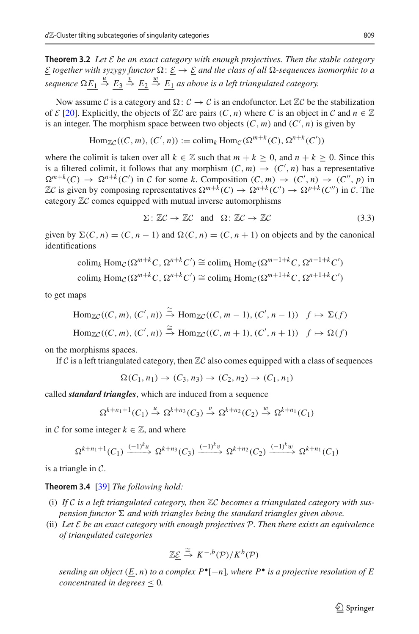**Theorem 3.2** *Let E be an exact category with enough projectives. Then the stable category*  $\underline{\mathcal{E}}$  *together with syzygy functor*  $\Omega$ :  $\underline{\mathcal{E}} \to \underline{\mathcal{E}}$  *and the class of all*  $\Omega$ -sequences isomorphic to a  $sequence \Omega\underline{E_1} \stackrel{u}{\rightarrow} \underline{E_3} \stackrel{v}{\rightarrow} \underline{E_2} \stackrel{w}{\rightarrow} \underline{E_1}$  as above is a left triangulated category.

Now assume *C* is a category and  $\Omega: \mathcal{C} \to \mathcal{C}$  is an endofunctor. Let  $\mathbb{Z}\mathcal{C}$  be the stabilization of  $\mathcal{E}$  [\[20](#page-21-24)]. Explicitly, the objects of  $\mathbb{Z}\mathcal{C}$  are pairs  $(C, n)$  where  $C$  is an object in  $\mathcal{C}$  and  $n \in \mathbb{Z}$ is an integer. The morphism space between two objects  $(C, m)$  and  $(C', n)$  is given by

$$
\text{Hom}_{\mathbb{Z}C}((C,m),(C',n)) := \text{colim}_k \text{Hom}_C(\Omega^{m+k}(C),\Omega^{n+k}(C'))
$$

where the colimit is taken over all  $k \in \mathbb{Z}$  such that  $m + k > 0$ , and  $n + k > 0$ . Since this is a filtered colimit, it follows that any morphism  $(C, m) \rightarrow (C', n)$  has a representative  $\Omega^{m+k}(C) \to \Omega^{n+k}(C')$  in *C* for some *k*. Composition  $(C, m) \to (C', n) \to (C'', p)$  in  $\mathbb{Z}C$  is given by composing representatives  $\Omega^{m+k}(C) \to \Omega^{n+k}(C') \to \Omega^{p+k}(C'')$  in  $C$ . The category <sup>Z</sup>*<sup>C</sup>* comes equipped with mutual inverse automorphisms

<span id="page-6-1"></span>
$$
\Sigma: \mathbb{Z}C \to \mathbb{Z}C \quad \text{and} \quad \Omega: \mathbb{Z}C \to \mathbb{Z}C \tag{3.3}
$$

given by  $\Sigma(C, n) = (C, n - 1)$  and  $\Omega(C, n) = (C, n + 1)$  on objects and by the canonical identifications

$$
colim_k Hom_C(\Omega^{m+k}C, \Omega^{n+k}C') \cong colim_k Hom_C(\Omega^{m-1+k}C, \Omega^{n-1+k}C')
$$
  

$$
colim_k Hom_C(\Omega^{m+k}C, \Omega^{n+k}C') \cong colim_k Hom_C(\Omega^{m+1+k}C, \Omega^{n+1+k}C')
$$

to get maps

$$
\text{Hom}_{\mathbb{Z}C}((C, m), (C', n)) \xrightarrow{\cong} \text{Hom}_{\mathbb{Z}C}((C, m - 1), (C', n - 1)) \quad f \mapsto \Sigma(f)
$$
\n
$$
\text{Hom}_{\mathbb{Z}C}((C, m), (C', n)) \xrightarrow{\cong} \text{Hom}_{\mathbb{Z}C}((C, m + 1), (C', n + 1)) \quad f \mapsto \Omega(f)
$$

on the morphisms spaces.

If  $C$  is a left triangulated category, then  $\mathbb{Z}C$  also comes equipped with a class of sequences

 $\Omega(C_1, n_1) \to (C_3, n_3) \to (C_2, n_2) \to (C_1, n_1)$ 

called *standard triangles*, which are induced from a sequence

$$
\Omega^{k+n_1+1}(C_1) \stackrel{u}{\rightarrow} \Omega^{k+n_3}(C_3) \stackrel{v}{\rightarrow} \Omega^{k+n_2}(C_2) \stackrel{w}{\rightarrow} \Omega^{k+n_1}(C_1)
$$

in *C* for some integer  $k \in \mathbb{Z}$ , and where

$$
\Omega^{k+n_1+1}(C_1) \xrightarrow{(-1)^k u} \Omega^{k+n_3}(C_3) \xrightarrow{(-1)^k v} \Omega^{k+n_2}(C_2) \xrightarrow{(-1)^k w} \Omega^{k+n_1}(C_1)
$$

<span id="page-6-0"></span>is a triangle in *C*.

#### **Theorem 3.4** [\[39](#page-21-16)] *The following hold:*

- (i) *If <sup>C</sup> is a left triangulated category, then* <sup>Z</sup>*<sup>C</sup> becomes a triangulated category with suspension functor*  $\Sigma$  *and with triangles being the standard triangles given above.*
- (ii) *Let E be an exact category with enough projectives P. Then there exists an equivalence of triangulated categories*

$$
\mathbb{Z}\underline{\mathcal{E}} \stackrel{\cong}{\to} K^{-,b}(\mathcal{P})/K^b(\mathcal{P})
$$

*sending an object*  $(E, n)$  *to a complex*  $P^{\bullet}[-n]$ *, where*  $P^{\bullet}$  *is a projective resolution of* E *concentrated in degrees*  $\leq 0$ *.*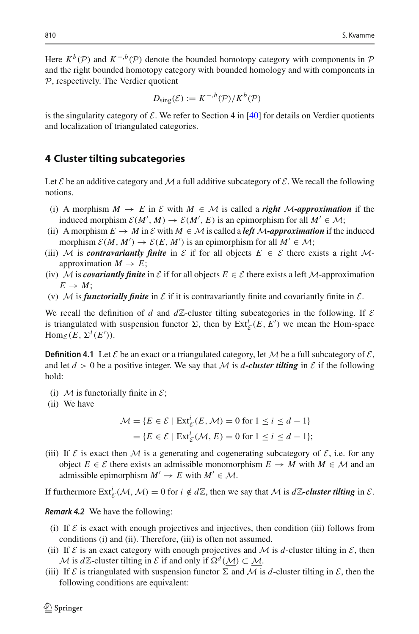Here  $K^b(\mathcal{P})$  and  $K^{-,b}(\mathcal{P})$  denote the bounded homotopy category with components in  $\mathcal P$ and the right bounded homotopy category with bounded homology and with components in *P*, respectively. The Verdier quotient

$$
D_{\text{sing}}(\mathcal{E}) := K^{-,b}(\mathcal{P})/K^b(\mathcal{P})
$$

is the singularity category of  $\mathcal E$ . We refer to Section 4 in [\[40](#page-21-25)] for details on Verdier quotients and localization of triangulated categories.

#### <span id="page-7-0"></span>**4 Cluster tilting subcategories**

Let  $\mathcal E$  be an additive category and  $\mathcal M$  a full additive subcategory of  $\mathcal E$ . We recall the following notions.

- (i) A morphism  $M \to E$  in  $\mathcal E$  with  $M \in \mathcal M$  is called a *right M*-approximation if the induced morphism  $E(M', M) \to E(M', E)$  is an epimorphism for all  $M' \in M$ ;
- (ii) A morphism  $E \to M$  in  $E$  with  $M \in \mathcal{M}$  is called a *left*  $M$ -approximation if the induced morphism  $\mathcal{E}(M, M') \to \mathcal{E}(E, M')$  is an epimorphism for all  $M' \in \mathcal{M}$ ;
- (iii) *M* is *contravariantly finite* in  $\mathcal E$  if for all objects  $E \in \mathcal E$  there exists a right *M*approximation  $M \to E$ ;
- (iv) *M* is *covariantly finite* in  $\mathcal E$  if for all objects  $E \in \mathcal E$  there exists a left *M*-approximation  $E \rightarrow M$ ;
- (v)  $M$  is *functorially finite* in  $E$  if it is contravariantly finite and covariantly finite in  $E$ .

We recall the definition of *d* and  $d\mathbb{Z}$ -cluster tilting subcategories in the following. If  $\mathcal E$ is triangulated with suspension functor  $\Sigma$ , then by  $\text{Ext}^i_{\mathcal{E}}(E, E')$  we mean the Hom-space  $\text{Hom}_{\mathcal{E}}(E, \Sigma^{i}(E')).$ 

<span id="page-7-1"></span>**Definition 4.1** Let  $\mathcal{E}$  be an exact or a triangulated category, let  $\mathcal{M}$  be a full subcategory of  $\mathcal{E}$ , and let  $d > 0$  be a positive integer. We say that *M* is *d*-cluster tilting in  $\mathcal E$  if the following hold:

- (i)  $M$  is functorially finite in  $\mathcal{E}$ ;
- (ii) We have

$$
\mathcal{M} = \{ E \in \mathcal{E} \mid \operatorname{Ext}_{\mathcal{E}}^{i}(E, \mathcal{M}) = 0 \text{ for } 1 \le i \le d - 1 \}
$$

$$
= \{ E \in \mathcal{E} \mid \operatorname{Ext}_{\mathcal{E}}^{i}(\mathcal{M}, E) = 0 \text{ for } 1 \le i \le d - 1 \};
$$

(iii) If  $\mathcal E$  is exact then  $\mathcal M$  is a generating and cogenerating subcategory of  $\mathcal E$ , i.e. for any object *E* ∈ *E* there exists an admissible monomorphism  $E \rightarrow M$  with  $M \in \mathcal{M}$  and an admissible epimorphism  $M' \rightarrow E$  with  $M' \in \mathcal{M}$ .

If furthermore  $\text{Ext}_{\mathcal{E}}^{i}(\mathcal{M}, \mathcal{M}) = 0$  for  $i \notin d\mathbb{Z}$ , then we say that  $\mathcal{M}$  is  $d\mathbb{Z}$ -cluster tilting in  $\mathcal{E}$ .

#### <span id="page-7-2"></span>*Remark 4.2* We have the following:

- (i) If  $\mathcal E$  is exact with enough projectives and injectives, then condition (iii) follows from conditions (i) and (ii). Therefore, (iii) is often not assumed.
- (ii) If  $\mathcal E$  is an exact category with enough projectives and  $\mathcal M$  is  $d$ -cluster tilting in  $\mathcal E$ , then *M* is *d*Z-cluster tilting in *E* if and only if  $\Omega^d(\mathcal{M}) \subset \mathcal{M}$ .
- (iii) If  $\mathcal E$  is triangulated with suspension functor  $\Sigma$  and  $\mathcal M$  is *d*-cluster tilting in  $\mathcal E$ , then the following conditions are equivalent: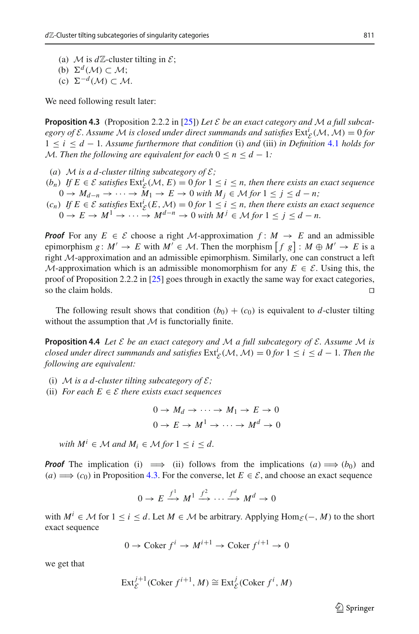(a) *M* is  $d\mathbb{Z}$ -cluster tilting in  $\mathcal{E}$ ;

(b)  $\Sigma^d(\mathcal{M}) \subset \mathcal{M}$ ;

 $(c)$   $\Sigma^{-d}$  (*M*) ⊂ *M*.

<span id="page-8-0"></span>We need following result later:

**Proposition 4.3** (Proposition 2.2.2 in [\[25](#page-21-0)]) *Let E be an exact category and M a full subcategory of*  $\mathcal{E}$ *. Assume*  $\mathcal{M}$  *is closed under direct summands and satisfies*  $\text{Ext}^i_{\mathcal{E}}(\mathcal{M}, \mathcal{M}) = 0$  *for* 1 ≤ *i* ≤ *d* − 1*. Assume furthermore that condition* (i) *and* (iii) *in Definition* [4.1](#page-7-1) *holds for M. Then the following are equivalent for each*  $0 \le n \le d - 1$ *:* 

- (*a*) *M* is a *d*-cluster tilting subcategory of  $\mathcal{E}$ ;
- $(b_n)$  *If*  $E \in \mathcal{E}$  *satisfies* Ext<sup>*i*</sup><sub>*E</sub>*(*M*, *E*) = 0 *for* 1 ≤ *i* ≤ *n*, then there exists an exact sequence</sub>  $0 \rightarrow M_{d-n} \rightarrow \cdots \rightarrow M_1 \rightarrow E \rightarrow 0$  *with*  $M_i \in \mathcal{M}$  for  $1 \leq j \leq d-n$ ;
- $(c_n)$  *If*  $E \in \mathcal{E}$  *satisfies*  $\text{Ext}^i_{\mathcal{E}}(E, \mathcal{M}) = 0$  *for*  $1 \leq i \leq n$ *, then there exists an exact sequence*  $0 \rightarrow E \rightarrow M^{1} \rightarrow \cdots \rightarrow M^{d-n} \rightarrow 0$  with  $M^{j} \in \mathcal{M}$  for  $1 \leq j \leq d-n$ .

*Proof* For any  $E \in \mathcal{E}$  choose a right *M*-approximation  $f: M \rightarrow E$  and an admissible epimorphism  $g: M' \to E$  with  $M' \in \mathcal{M}$ . Then the morphism  $[f g]: M \oplus M' \to E$  is a right *M*-approximation and an admissible epimorphism. Similarly, one can construct a left *M*-approximation which is an admissible monomorphism for any  $E \in \mathcal{E}$ . Using this, the proof of Proposition 2.2.2 in [\[25\]](#page-21-0) goes through in exactly the same way for exact categories, so the claim holds.  $\Box$ 

<span id="page-8-1"></span>The following result shows that condition  $(b_0) + (c_0)$  is equivalent to *d*-cluster tilting without the assumption that  $M$  is functorially finite.

**Proposition 4.4** *Let E be an exact category and M a full subcategory of E. Assume M is closed under direct summands and satisfies*  $\text{Ext}^i_{\mathcal{E}}(\mathcal{M}, \mathcal{M}) = 0$  *for*  $1 \leq i \leq d - 1$ *. Then the following are equivalent:*

- (i) *M* is a d-cluster tilting subcategory of  $\mathcal{E}$ ;
- (ii) *For each*  $E \in \mathcal{E}$  *there exists exact sequences*

$$
0 \to M_d \to \cdots \to M_1 \to E \to 0
$$
  

$$
0 \to E \to M^1 \to \cdots \to M^d \to 0
$$

*with*  $M^i \in \mathcal{M}$  *and*  $M_i \in \mathcal{M}$  *for*  $1 \le i \le d$ *.* 

*Proof* The implication (i)  $\implies$  (ii) follows from the implications (*a*)  $\implies$  (*b*<sub>0</sub>) and  $(a) \implies (c_0)$  in Proposition [4.3.](#page-8-0) For the converse, let  $E \in \mathcal{E}$ , and choose an exact sequence

$$
0 \to E \xrightarrow{f^1} M^1 \xrightarrow{f^2} \cdots \xrightarrow{f^d} M^d \to 0
$$

with  $M^i$  ∈ *M* for  $1 \le i \le d$ . Let  $M \in \mathcal{M}$  be arbitrary. Applying Hom<sub>*E*</sub>(−, *M*) to the short exact sequence

$$
0 \to \text{Coker } f^i \to M^{i+1} \to \text{Coker } f^{i+1} \to 0
$$

we get that

$$
\operatorname{Ext}^{j+1}_{\mathcal{E}}(\operatorname{Coker} f^{i+1}, M) \cong \operatorname{Ext}^{j}_{\mathcal{E}}(\operatorname{Coker} f^{i}, M)
$$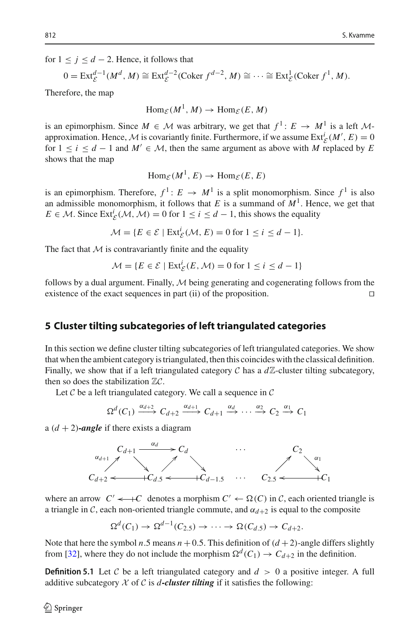for  $1 \leq j \leq d - 2$ . Hence, it follows that

$$
0 = \text{Ext}_{\mathcal{E}}^{d-1}(M^d, M) \cong \text{Ext}_{\mathcal{E}}^{d-2}(\text{Coker } f^{d-2}, M) \cong \cdots \cong \text{Ext}_{\mathcal{E}}^1(\text{Coker } f^1, M).
$$

Therefore, the map

 $\text{Hom}_{\mathcal{E}}(M^1, M) \to \text{Hom}_{\mathcal{E}}(E, M)$ 

is an epimorphism. Since  $M \in \mathcal{M}$  was arbitrary, we get that  $f^1: E \to M^1$  is a left  $M$ approximation. Hence, *M* is covariantly finite. Furthermore, if we assume  $\text{Ext}^i_{\mathcal{E}}(M', E) = 0$ for  $1 \le i \le d - 1$  and  $M' \in \mathcal{M}$ , then the same argument as above with *M* replaced by *E* shows that the map

$$
\text{Hom}_{\mathcal{E}}(M^1, E) \to \text{Hom}_{\mathcal{E}}(E, E)
$$

is an epimorphism. Therefore,  $f^1: E \to M^1$  is a split monomorphism. Since  $f^1$  is also an admissible monomorphism, it follows that  $E$  is a summand of  $M<sup>1</sup>$ . Hence, we get that  $E \in \mathcal{M}$ . Since  $\text{Ext}_{\mathcal{E}}^{i}(\mathcal{M}, \mathcal{M}) = 0$  for  $1 \leq i \leq d - 1$ , this shows the equality

 $\mathcal{M} = \{ E \in \mathcal{E} \mid \text{Ext}_{\mathcal{E}}^{i}(\mathcal{M}, E) = 0 \text{ for } 1 \leq i \leq d - 1 \}.$ 

The fact that  $M$  is contravariantly finite and the equality

$$
\mathcal{M} = \{ E \in \mathcal{E} \mid \text{Ext}_{\mathcal{E}}^{i}(E, \mathcal{M}) = 0 \text{ for } 1 \le i \le d - 1 \}
$$

follows by a dual argument. Finally,  $M$  being generating and cogenerating follows from the existence of the exact sequences in part (ii) of the proposition. existence of the exact sequences in part (ii) of the proposition. 

# <span id="page-9-0"></span>**5 Cluster tilting subcategories of left triangulated categories**

In this section we define cluster tilting subcategories of left triangulated categories. We show that when the ambient category is triangulated, then this coincides with the classical definition. Finally, we show that if a left triangulated category  $\mathcal C$  has a  $d\mathbb{Z}$ -cluster tilting subcategory, then so does the stabilization <sup>Z</sup>*C*.

Let *C* be a left triangulated category. We call a sequence in *C*

$$
\Omega^d(C_1) \xrightarrow{\alpha_{d+2}} C_{d+2} \xrightarrow{\alpha_{d+1}} C_{d+1} \xrightarrow{\alpha_d} \cdots \xrightarrow{\alpha_2} C_2 \xrightarrow{\alpha_1} C_1
$$

a  $(d + 2)$ -angle if there exists a diagram



where an arrow  $C' \leftarrow C$  denotes a morphism  $C' \leftarrow \Omega(C)$  in C, each oriented triangle is a triangle in *C*, each non-oriented triangle commute, and  $\alpha_{d+2}$  is equal to the composite

$$
\Omega^d(C_1) \to \Omega^{d-1}(C_{2.5}) \to \cdots \to \Omega(C_{d.5}) \to C_{d+2}.
$$

<span id="page-9-1"></span>Note that here the symbol *n*.5 means  $n + 0.5$ . This definition of  $(d + 2)$ -angle differs slightly from [\[32\]](#page-21-26), where they do not include the morphism  $\Omega^d(C_1) \to C_{d+2}$  in the definition.

**Definition 5.1** Let C be a left triangulated category and  $d > 0$  a positive integer. A full additive subcategory  $X$  of  $C$  is *d*-cluster tilting if it satisfies the following: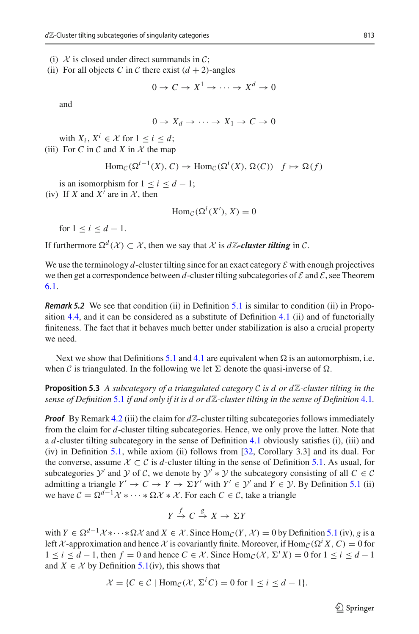- (i)  $\mathcal X$  is closed under direct summands in  $\mathcal C$ ;
- (ii) For all objects *C* in *C* there exist  $(d + 2)$ -angles

 $0 \to C \to X^1 \to \cdots \to X^d \to 0$ 

and

 $0 \rightarrow X_d \rightarrow \cdots \rightarrow X_1 \rightarrow C \rightarrow 0$ 

with  $X_i, X^i \in \mathcal{X}$  for  $1 \leq i \leq d$ ; (iii) For C in C and X in  $X$  the map

$$
\text{Hom}_{\mathcal{C}}(\Omega^{i-1}(X), C) \to \text{Hom}_{\mathcal{C}}(\Omega^{i}(X), \Omega(C)) \quad f \mapsto \Omega(f)
$$

is an isomorphism for  $1 \le i \le d - 1$ ; (iv) If *X* and *X'* are in  $X$ , then

 $\text{Hom}_{\mathcal{C}}(\Omega^{i}(X'), X) = 0$ 

for  $1 \le i \le d - 1$ .

If furthermore  $\Omega^d(\mathcal{X}) \subset \mathcal{X}$ , then we say that  $\mathcal X$  is  $d\mathbb{Z}$ -cluster tilting in  $\mathcal C$ .

We use the terminology  $d$ -cluster tilting since for an exact category  $\mathcal E$  with enough projectives we then get a correspondence between *d*-cluster tilting subcategories of  $\mathcal E$  and  $\mathcal E$ , see Theorem [6.1.](#page-13-1)

*Remark 5.2* We see that condition (ii) in Definition [5.1](#page-9-1) is similar to condition (ii) in Propo-sition [4.4,](#page-8-1) and it can be considered as a substitute of Definition  $4.1$  (ii) and of functorially finiteness. The fact that it behaves much better under stabilization is also a crucial property we need.

Next we show that Definitions [5.1](#page-9-1) and [4.1](#page-7-1) are equivalent when  $\Omega$  is an automorphism, i.e. when *C* is triangulated. In the following we let  $\Sigma$  denote the quasi-inverse of  $\Omega$ .

**Proposition 5.3** A subcategory of a triangulated category C is d or  $d\mathbb{Z}$ -cluster tilting in the *sense of Definition* [5.1](#page-9-1) *if and only if it is d or d*Z*-cluster tilting in the sense of Definition* [4.1](#page-7-1)*.*

*Proof* By Remark [4.2](#page-7-2) (iii) the claim for  $d\mathbb{Z}$ -cluster tilting subcategories follows immediately from the claim for *d*-cluster tilting subcategories. Hence, we only prove the latter. Note that a *d*-cluster tilting subcategory in the sense of Definition [4.1](#page-7-1) obviously satisfies (i), (iii) and (iv) in Definition [5.1,](#page-9-1) while axiom (ii) follows from [\[32](#page-21-26), Corollary 3.3] and its dual. For the converse, assume  $X \subset \mathcal{C}$  is *d*-cluster tilting in the sense of Definition [5.1.](#page-9-1) As usual, for subcategories *Y* and *Y* of *C*, we denote by  $Y' * Y$  the subcategory consisting of all  $C \in \mathcal{C}$ admitting a triangle  $Y' \to C \to Y \to \Sigma Y'$  with  $Y' \in \mathcal{Y}'$  and  $Y \in \mathcal{Y}$ . By Definition [5.1](#page-9-1) (ii) we have  $C = \Omega^{d-1} \mathcal{X} * \cdots * \Omega \mathcal{X} * \mathcal{X}$ . For each  $C \in \mathcal{C}$ , take a triangle

$$
Y \xrightarrow{f} C \xrightarrow{g} X \to \Sigma Y
$$

with  $Y \in \Omega^{d-1} \mathcal{X} \ast \cdots \ast \Omega \mathcal{X}$  and  $X \in \mathcal{X}$ . Since Hom<sub>*C*</sub>(*Y*,  $\mathcal{X}$ ) = 0 by Definition [5.1](#page-9-1) (iv), *g* is a left *X*-approximation and hence *X* is covariantly finite. Moreover, if Hom<sub>*C*</sub>( $\Omega$ <sup>*i</sup>X*, *C*) = 0 for</sup> 1 ≤ *i* ≤ *d* − 1, then *f* = 0 and hence *C* ∈ *X*. Since Hom<sub>*C*</sub>(*X*,  $\Sigma$ <sup>*i*</sup>X) = 0 for 1 ≤ *i* ≤ *d* − 1 and  $X \in \mathcal{X}$  by Definition [5.1\(](#page-9-1)iv), this shows that

$$
\mathcal{X} = \{ C \in \mathcal{C} \mid \text{Hom}_{\mathcal{C}}(\mathcal{X}, \Sigma^i C) = 0 \text{ for } 1 \le i \le d - 1 \}.
$$

 $\hat{\mathfrak{D}}$  Springer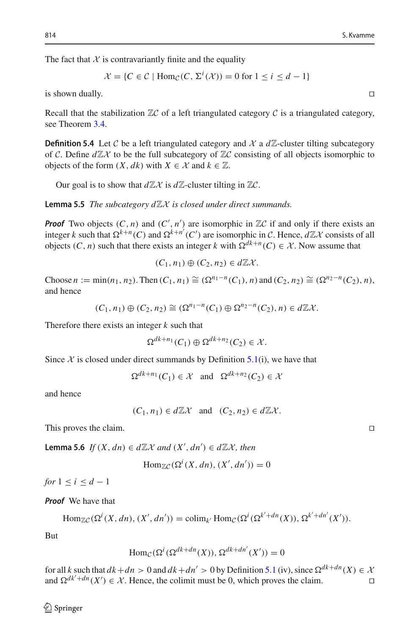The fact that  $X$  is contravariantly finite and the equality

$$
\mathcal{X} = \{ C \in \mathcal{C} \mid \text{Hom}_{\mathcal{C}}(C, \Sigma^i(\mathcal{X})) = 0 \text{ for } 1 \le i \le d - 1 \}
$$

is shown dually.  $\Box$ 

Recall that the stabilization  $\mathbb{Z}C$  of a left triangulated category  $C$  is a triangulated category, see Theorem [3.4.](#page-6-0)

**Definition 5.4** Let C be a left triangulated category and  $\chi$  a  $d\mathbb{Z}$ -cluster tilting subcategory of *C*. Define  $d\mathbb{Z}{\mathcal{X}}$  to be the full subcategory of  $\mathbb{Z}{\mathcal{C}}$  consisting of all objects isomorphic to objects of the form  $(X, dk)$  with  $X \in \mathcal{X}$  and  $k \in \mathbb{Z}$ .

<span id="page-11-0"></span>Our goal is to show that  $d\mathbb{Z} \mathcal{X}$  is  $d\mathbb{Z}$ -cluster tilting in  $\mathbb{Z} \mathcal{C}$ .

**Lemma 5.5** *The subcategory*  $d\mathbb{Z}$ *X is closed under direct summands.* 

*Proof* Two objects  $(C, n)$  and  $(C', n')$  are isomorphic in  $\mathbb{Z}C$  if and only if there exists an integer *k* such that  $\Omega^{k+n}(C)$  and  $\Omega^{k+n'}(C')$  are isomorphic in *C*. Hence,  $d\mathbb{Z}X$  consists of all objects  $(C, n)$  such that there exists an integer *k* with  $\Omega^{dk+n}(C) \in \mathcal{X}$ . Now assume that

$$
(C_1, n_1) \oplus (C_2, n_2) \in d\mathbb{Z} \mathcal{X}.
$$

 $\text{Choose } n := \min(n_1, n_2)$ . Then  $(C_1, n_1) \cong (\Omega^{n_1-n}(C_1), n)$  and  $(C_2, n_2) \cong (\Omega^{n_2-n}(C_2), n)$ , and hence

$$
(C_1, n_1) \oplus (C_2, n_2) \cong (\Omega^{n_1 - n}(C_1) \oplus \Omega^{n_2 - n}(C_2), n) \in d\mathbb{Z}\mathcal{X}.
$$

Therefore there exists an integer *k* such that

$$
\Omega^{dk+n_1}(C_1) \oplus \Omega^{dk+n_2}(C_2) \in \mathcal{X}.
$$

Since  $X$  is closed under direct summands by Definition  $5.1(i)$  $5.1(i)$ , we have that

 $\Omega^{dk+n_1}(C_1) \in \mathcal{X}$  and  $\Omega^{dk+n_2}(C_2) \in \mathcal{X}$ 

and hence

 $(C_1, n_1) \in d\mathbb{Z}\mathcal{X}$  and  $(C_2, n_2) \in d\mathbb{Z}\mathcal{X}$ .

This proves the claim.

<span id="page-11-1"></span>**Lemma 5.6** *If*  $(X, dn)$  ∈  $d\mathbb{Z}X$  *and*  $(X', dn')$  ∈  $d\mathbb{Z}X$ *, then* 

$$
\operatorname{Hom}_{\mathbb{Z}C}(\Omega^i(X,dn), (X',dn')) = 0
$$

*for*  $1 \leq i \leq d-1$ 

*Proof* We have that

$$
\text{Hom}_{\mathbb{Z}C}(\Omega^i(X,dn), (X',dn')) = \text{colim}_{k'} \text{Hom}_C(\Omega^i(\Omega^{k'+dn}(X)), \Omega^{k'+dn'}(X')).
$$

But

$$
\operatorname{Hom}_{\mathcal{C}}(\Omega^{i}(\Omega^{dk+dn}(X)), \Omega^{dk+dn'}(X')) = 0
$$

for all *k* such that  $dk + dn > 0$  and  $dk + dn' > 0$  by Definition [5.1](#page-9-1) (iv), since  $\Omega^{dk+dn}(X) \in \mathcal{X}$  and  $\Omega^{dk'+dn}(X') \in \mathcal{X}$ . Hence, the colimit must be 0, which proves the claim. and  $\Omega^{dk'+dn}(X') \in \mathcal{X}$ . Hence, the colimit must be 0, which proves the claim.

<span id="page-11-2"></span> $\mathcal{L}$  Springer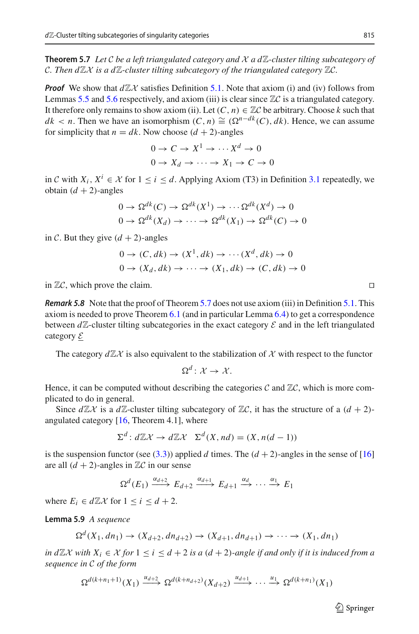**Theorem 5.7** Let C be a left triangulated category and  $X$  a  $d\mathbb{Z}$ -cluster tilting subcategory of *C. Then*  $d\mathbb{Z}X$  *is a*  $d\mathbb{Z}$ *-cluster tilting subcategory of the triangulated category*  $\mathbb{Z}C$ *.* 

*Proof* We show that  $d\mathbb{Z}X$  satisfies Definition [5.1.](#page-9-1) Note that axiom (i) and (iv) follows from Lemmas [5.5](#page-11-0) and [5.6](#page-11-1) respectively, and axiom (iii) is clear since <sup>Z</sup>*<sup>C</sup>* is a triangulated category. It therefore only remains to show axiom (ii). Let  $(C, n) \in \mathbb{Z}C$  be arbitrary. Choose k such that  $dk$  < *n*. Then we have an isomorphism  $(C, n) \cong (\Omega^{n-dk}(C), dk)$ . Hence, we can assume for simplicity that  $n = dk$ . Now choose  $(d + 2)$ -angles

$$
0 \to C \to X^1 \to \cdots X^d \to 0
$$
  

$$
0 \to X_d \to \cdots \to X_1 \to C \to 0
$$

in *C* with *X<sub>i</sub>*, *X<sup>i</sup>* ∈ *X* for  $1 \le i \le d$ . Applying Axiom (T3) in Definition [3.1](#page-4-1) repeatedly, we obtain  $(d + 2)$ -angles

$$
0 \to \Omega^{dk}(C) \to \Omega^{dk}(X^1) \to \cdots \Omega^{dk}(X^d) \to 0
$$
  

$$
0 \to \Omega^{dk}(X_d) \to \cdots \to \Omega^{dk}(X_1) \to \Omega^{dk}(C) \to 0
$$

in *C*. But they give  $(d + 2)$ -angles

$$
0 \to (C, dk) \to (X^1, dk) \to \cdots (X^d, dk) \to 0
$$
  

$$
0 \to (X_d, dk) \to \cdots \to (X_1, dk) \to (C, dk) \to 0
$$

in  $\mathbb{Z}C$ , which prove the claim.

*Remark 5.8* Note that the proof of Theorem [5.7](#page-11-2) does not use axiom (iii) in Definition [5.1.](#page-9-1) This axiom is needed to prove Theorem [6.1](#page-13-1) (and in particular Lemma [6.4\)](#page-14-0) to get a correspondence between  $d\mathbb{Z}$ -cluster tilting subcategories in the exact category  $\mathcal E$  and in the left triangulated category *E*

The category  $d\mathbb{Z}\chi$  is also equivalent to the stabilization of  $\chi$  with respect to the functor

$$
\Omega^d\colon \mathcal{X} \to \mathcal{X}.
$$

Hence, it can be computed without describing the categories  $C$  and  $\mathbb{Z}C$ , which is more complicated to do in general.

Since  $d\mathbb{Z}X$  is a  $d\mathbb{Z}$ -cluster tilting subcategory of  $\mathbb{Z}C$ , it has the structure of a  $(d+2)$ angulated category  $[16,$  Theorem 4.1], where

$$
\Sigma^d: d\mathbb{Z}\mathcal{X} \to d\mathbb{Z}\mathcal{X} \quad \Sigma^d(X, nd) = (X, n(d-1))
$$

is the suspension functor (see [\(3.3\)](#page-6-1)) applied *d* times. The  $(d+2)$ -angles in the sense of [\[16\]](#page-21-3) are all  $(d + 2)$ -angles in  $\mathbb{Z}C$  in our sense

$$
\Omega^d(E_1) \xrightarrow{\alpha_{d+2}} E_{d+2} \xrightarrow{\alpha_{d+1}} E_{d+1} \xrightarrow{\alpha_d} \cdots \xrightarrow{\alpha_1} E_1
$$

<span id="page-12-0"></span>where  $E_i \in d\mathbb{Z}$ *X* for  $1 \leq i \leq d+2$ .

**Lemma 5.9** *A sequence*

$$
\Omega^d(X_1, dn_1) \to (X_{d+2}, dn_{d+2}) \to (X_{d+1}, dn_{d+1}) \to \cdots \to (X_1, dn_1)
$$

*in d* $\mathbb{Z}$ *X with*  $X_i$  ∈ *X for* 1 < *i* < *d* + 2 *is a* (*d* + 2)*-angle if and only if it is induced from a sequence in C of the form*

$$
\Omega^{d(k+n_1+1)}(X_1) \xrightarrow{u_{d+2}} \Omega^{d(k+n_{d+2})}(X_{d+2}) \xrightarrow{u_{d+1}} \cdots \xrightarrow{u_1} \Omega^{d(k+n_1)}(X_1)
$$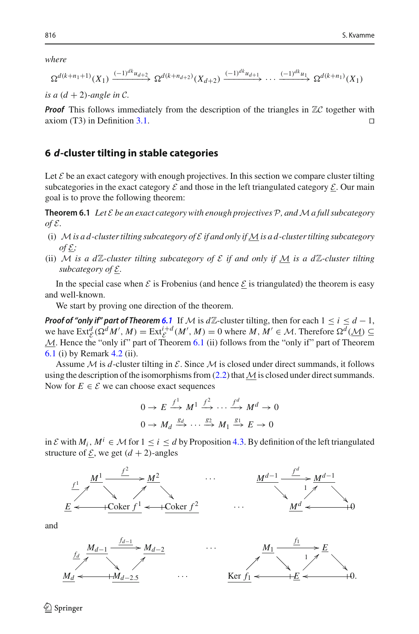*where*

$$
\Omega^{d(k+n_1+1)}(X_1) \xrightarrow{(-1)^{dk}u_{d+2}} \Omega^{d(k+n_{d+2})}(X_{d+2}) \xrightarrow{(-1)^{dk}u_{d+1}} \cdots \xrightarrow{(-1)^{dk}u_1} \Omega^{d(k+n_1)}(X_1)
$$

*is a*  $(d + 2)$ *-angle in C*.

**Proof** This follows immediately from the description of the triangles in  $\mathbb{Z}C$  together with axiom (T3) in Definition 3.1. axiom (T3) in Definition [3.1.](#page-4-1) 

#### <span id="page-13-0"></span>**6** *d***-cluster tilting in stable categories**

Let  $\mathcal E$  be an exact category with enough projectives. In this section we compare cluster tilting subcategories in the exact category  $\mathcal E$  and those in the left triangulated category  $\mathcal E$ . Our main goal is to prove the following theorem:

<span id="page-13-1"></span>**Theorem 6.1** *Let E be an exact category with enough projectives P, andMa full subcategory*  $of \mathcal{E}.$ 

- (i)  $\mathcal{M}$  *is a d-cluster tilting subcategory of*  $\mathcal{E}$  *if and only if*  $\mathcal{M}$  *is a d-cluster tilting subcategory*  $\omega f \mathcal{E}$ ;
- (ii) *M* is a dZ-cluster tilting subcategory of  $\mathcal E$  if and only if M is a dZ-cluster tilting *subcategory of E.*

In the special case when  $\mathcal E$  is Frobenius (and hence  $\mathcal E$  is triangulated) the theorem is easy and well-known.

We start by proving one direction of the theorem.

*Proof of "only if" part of Theorem [6.1](#page-13-1)* If *M* is  $d\mathbb{Z}$ -cluster tilting, then for each  $1 \le i \le d-1$ , we have  $\text{Ext}_{\mathcal{C}}^d(\Omega^d M', M) = \text{Ext}_{\mathcal{C}}^{i+d}(M', M) = 0$  where  $M, M' \in \mathcal{M}$ . Therefore  $\Omega^d(\underline{\mathcal{M}}) \subseteq$ *M*. Hence the "only if" part of Theorem [6.1](#page-13-1) (ii) follows from the "only if" part of Theorem [6.1](#page-13-1) (i) by Remark [4.2](#page-7-2) (ii).

Assume  $M$  is  $d$ -cluster tilting in  $E$ . Since  $M$  is closed under direct summands, it follows using the description of the isomorphisms from [\(2.2\)](#page-3-0) that*M*is closed under direct summands. Now for  $E \in \mathcal{E}$  we can choose exact sequences

$$
0 \to E \xrightarrow{f^1} M^1 \xrightarrow{f^2} \cdots \xrightarrow{f^d} M^d \to 0
$$
  

$$
0 \to M_d \xrightarrow{g_d} \cdots \xrightarrow{g_2} M_1 \xrightarrow{g_1} E \to 0
$$

in *E* with *M<sub>i</sub>*, *M<sup>i</sup>* ∈ *M* for 1 ≤ *i* ≤ *d* by Proposition [4.3.](#page-8-0) By definition of the left triangulated structure of  $\mathcal{E}$ , we get  $(d + 2)$ -angles



and





 $\mathcal{L}$  Springer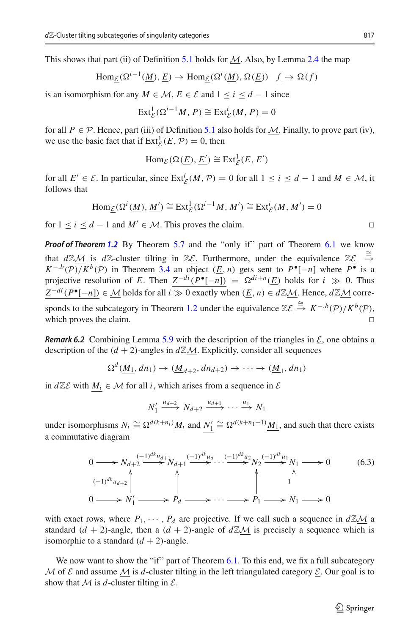This shows that part (ii) of Definition [5.1](#page-9-1) holds for *M*. Also, by Lemma [2.4](#page-4-2) the map

$$
\text{Hom}_{\underline{\mathcal{E}}}(\Omega^{i-1}(\underline{M}), \underline{E}) \to \text{Hom}_{\underline{\mathcal{E}}}(\Omega^i(\underline{M}), \Omega(\underline{E})) \underline{f} \mapsto \Omega(\underline{f})
$$

is an isomorphism for any *M* ∈ *M*, *E* ∈ *E* and  $1 \le i \le d - 1$  since

$$
\operatorname{Ext}^1_{\mathcal{E}}(\Omega^{i-1}M, P) \cong \operatorname{Ext}^i_{\mathcal{E}}(M, P) = 0
$$

for all  $P \in \mathcal{P}$ . Hence, part (iii) of Definition [5.1](#page-9-1) also holds for *M*. Finally, to prove part (iv), we use the basic fact that if  $\text{Ext}_{\mathcal{E}}^1(E, \mathcal{P}) = 0$ , then

$$
\text{Hom}_{\underline{\mathcal{E}}}(\Omega(\underline{E}), \underline{E}') \cong \text{Ext}^1_{\mathcal{E}}(E, E')
$$

for all  $E' \in \mathcal{E}$ . In particular, since  $\text{Ext}_{\mathcal{E}}^i(M, \mathcal{P}) = 0$  for all  $1 \le i \le d - 1$  and  $M \in \mathcal{M}$ , it follows that

$$
\text{Hom}_{\underline{\mathcal{E}}}(\Omega^i(\underline{M}), \underline{M}') \cong \text{Ext}^1_{\mathcal{E}}(\Omega^{i-1}M, M') \cong \text{Ext}^i_{\mathcal{E}}(M, M') = 0
$$

for  $1 \le i \le d - 1$  and  $M' \in \mathcal{M}$ . This proves the claim. □

*Proof of Theorem [1.2](#page-1-2)* By Theorem [5.7](#page-11-2) and the "only if" part of Theorem [6.1](#page-13-1) we know that  $d\mathbb{Z}\underline{\mathcal{M}}$  is  $d\mathbb{Z}$ -cluster tilting in  $\mathbb{Z}\underline{\mathcal{E}}$ . Furthermore, under the equivalence  $\mathbb{Z}\underline{\mathcal{E}}$   $\stackrel{\cong}{\to}$  $K^{-,b}(\mathcal{P})/K^{b}(\mathcal{P})$  in Theorem [3.4](#page-6-0) an object  $(E, n)$  gets sent to  $P^{\bullet}[-n]$  where  $P^{\bullet}$  is a projective resolution of *E*. Then  $Z^{-di}(P^{\bullet}[-n]) = \Omega^{di+n}(\underline{E})$  holds for  $i \gg 0$ . Thus  $Z^{-di}(P^{\bullet}[-n]) \in M$  holds for all  $i \gg 0$  exactly when  $(E, n) \in d\mathbb{Z}M$ . Hence,  $d\mathbb{Z}M$  corre-sponds to the subcategory in Theorem [1.2](#page-1-2) under the equivalence  $\mathbb{Z}\underline{\mathcal{E}} \stackrel{\cong}{\to} K^{-,b}(\mathcal{P})/K^{b}(\mathcal{P}),$ which proves the claim.

*Remark 6.2* Combining Lemma [5.9](#page-12-0) with the description of the triangles in  $\mathcal{E}$ , one obtains a description of the  $(d + 2)$ -angles in  $d\mathbb{Z}M$ . Explicitly, consider all sequences

$$
\Omega^d(\underline{M_1}, dn_1) \to (\underline{M}_{d+2}, dn_{d+2}) \to \cdots \to (\underline{M}_1, dn_1)
$$

in  $d\mathbb{Z}\mathcal{E}$  with  $M_i$  ∈  $\mathcal{M}$  for all *i*, which arises from a sequence in  $\mathcal{E}$ 

$$
N'_1 \xrightarrow{u_{d+2}} N_{d+2} \xrightarrow{u_{d+1}} \cdots \xrightarrow{u_1} N_1
$$

under isomorphisms  $\underline{N_i}$   $\cong \Omega^{d(k+n_i)} \underline{M_i}$  and  $\underline{N'_1}$   $\cong \Omega^{d(k+n_1+1)} \underline{M_1}$ , and such that there exists a commutative diagram

$$
\begin{array}{ccc}\n0 \longrightarrow N_{d+2} \xrightarrow{(-1)^{dk} u_{d+1}} N_{d+1} \xrightarrow{(-1)^{dk} u_d} N_2 \xrightarrow{(-1)^{dk} u_1} N_1 \longrightarrow 0 \\
\downarrow & \uparrow & \uparrow & \uparrow \\
0 \longrightarrow N_1' \longrightarrow P_d \longrightarrow \cdots \longrightarrow P_1 \longrightarrow N_1 \longrightarrow 0\n\end{array} \tag{6.3}
$$

with exact rows, where  $P_1, \dots, P_d$  are projective. If we call such a sequence in  $d\mathbb{Z}M$  a standard  $(d + 2)$ -angle, then a  $(d + 2)$ -angle of  $d\mathbb{Z}M$  is precisely a sequence which is isomorphic to a standard  $(d + 2)$ -angle.

<span id="page-14-0"></span>We now want to show the "if" part of Theorem [6.1.](#page-13-1) To this end, we fix a full subcategory *M* of  $\mathcal E$  and assume  $M$  is *d*-cluster tilting in the left triangulated category  $\mathcal E$ . Our goal is to show that  $M$  is  $d$ -cluster tilting in  $\mathcal{E}$ .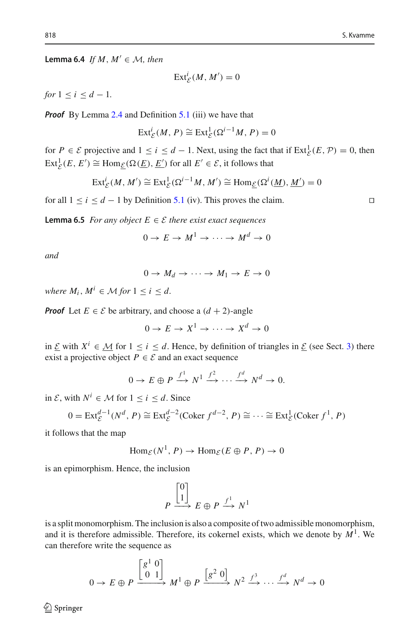**Lemma 6.4** *If M*,  $M' \in \mathcal{M}$ , then

$$
\operatorname{Ext}_{\mathcal{E}}^i(M,M')=0
$$

*for*  $1 \le i \le d - 1$ *.* 

*Proof* By Lemma [2.4](#page-4-2) and Definition [5.1](#page-9-1) (iii) we have that

$$
\operatorname{Ext}_{\mathcal{E}}^{i}(M, P) \cong \operatorname{Ext}_{\mathcal{E}}^{1}(\Omega^{i-1}M, P) = 0
$$

for  $P \in \mathcal{E}$  projective and  $1 \le i \le d - 1$ . Next, using the fact that if  $\text{Ext}_{\mathcal{E}}^1(E, \mathcal{P}) = 0$ , then  $\text{Ext}_{\mathcal{E}}^1(E, E') \cong \text{Hom}_{\mathcal{E}}(\Omega(\underline{E}), \underline{E}')$  for all  $E' \in \mathcal{E}$ , it follows that

$$
\operatorname{Ext}_{\mathcal{E}}^{i}(M, M') \cong \operatorname{Ext}_{\mathcal{E}}^{1}(\Omega^{i-1}M, M') \cong \operatorname{Hom}_{\mathcal{E}}(\Omega^{i}(\underline{M}), \underline{M}') = 0
$$

<span id="page-15-0"></span>for all  $1 \le i \le d - 1$  by Definition [5.1](#page-9-1) (iv). This proves the claim.  $□$ 

**Lemma 6.5** *For any object*  $E \in \mathcal{E}$  *there exist exact sequences* 

$$
0 \to E \to M^1 \to \cdots \to M^d \to 0
$$

*and*

$$
0 \to M_d \to \cdots \to M_1 \to E \to 0
$$

*where*  $M_i$ ,  $M^i \in M$  *for*  $1 \le i \le d$ .

*Proof* Let  $E \in \mathcal{E}$  be arbitrary, and choose a  $(d+2)$ -angle

 $0 \to E \to X^1 \to \cdots \to X^d \to 0$ 

in *E* with  $X^i$  ∈ *M* for  $1 \le i \le d$ . Hence, by definition of triangles in *E* (see Sect. [3\)](#page-4-0) there exist a projective object  $P \in \mathcal{E}$  and an exact sequence

$$
0 \to E \oplus P \xrightarrow{f^1} N^1 \xrightarrow{f^2} \cdots \xrightarrow{f^d} N^d \to 0.
$$

in *E*, with *N<sup>i</sup>* ∈ *M* for  $1 ≤ i ≤ d$ . Since

$$
0 = \text{Ext}_{\mathcal{E}}^{d-1}(N^d, P) \cong \text{Ext}_{\mathcal{E}}^{d-2}(\text{Coker } f^{d-2}, P) \cong \dots \cong \text{Ext}_{\mathcal{E}}^1(\text{Coker } f^1, P)
$$

it follows that the map

$$
\text{Hom}_{\mathcal{E}}(N^1, P) \to \text{Hom}_{\mathcal{E}}(E \oplus P, P) \to 0
$$

is an epimorphism. Hence, the inclusion

$$
P \xrightarrow{\begin{bmatrix} 0 \\ 1 \end{bmatrix}} E \oplus P \xrightarrow{f^1} N^1
$$

is a split monomorphism. The inclusion is also a composite of two admissible monomorphism, and it is therefore admissible. Therefore, its cokernel exists, which we denote by  $M<sup>1</sup>$ . We can therefore write the sequence as

$$
0 \to E \oplus P \xrightarrow{\begin{bmatrix} g^1 & 0 \\ 0 & 1 \end{bmatrix}} M^1 \oplus P \xrightarrow{\begin{bmatrix} g^2 & 0 \end{bmatrix}} N^2 \xrightarrow{f^3} \cdots \xrightarrow{f^d} N^d \to 0
$$

 $\circledcirc$  Springer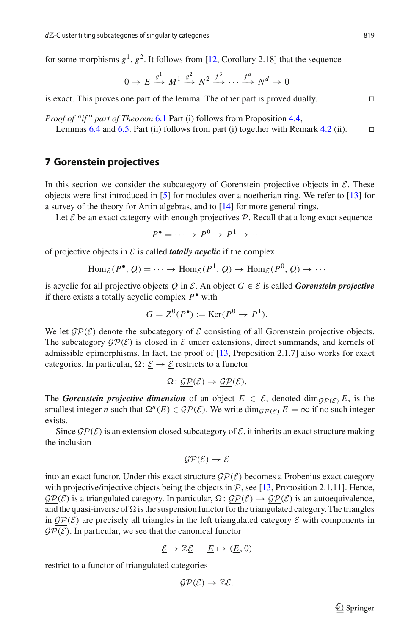for some morphisms  $g^1$ ,  $g^2$ . It follows from [\[12,](#page-21-17) Corollary 2.18] that the sequence

$$
0 \to E \xrightarrow{g^1} M^1 \xrightarrow{g^2} N^2 \xrightarrow{f^3} \cdots \xrightarrow{f^d} N^d \to 0
$$

is exact. This proves one part of the lemma. The other part is proved dually. 

*Proof of "if" part of Theorem* [6.1](#page-13-1) Part (i) follows from Proposition [4.4,](#page-8-1) Lemmas [6.4](#page-14-0) and [6.5.](#page-15-0) Part (ii) follows from part (i) together with Remark [4.2](#page-7-2) (ii).  $\square$ 

#### <span id="page-16-0"></span>**7 Gorenstein projectives**

In this section we consider the subcategory of Gorenstein projective objects in  $\mathcal{E}$ . These objects were first introduced in [\[5\]](#page-20-5) for modules over a noetherian ring. We refer to [\[13](#page-21-27)] for a survey of the theory for Artin algebras, and to [\[14](#page-21-28)] for more general rings.

Let  $\mathcal E$  be an exact category with enough projectives  $\mathcal P$ . Recall that a long exact sequence

$$
P^{\bullet} = \cdots \to P^0 \to P^1 \to \cdots
$$

of projective objects in  $\mathcal E$  is called *totally acyclic* if the complex

$$
\operatorname{Hom}_{\mathcal{E}}(P^{\bullet}, Q) = \dots \to \operatorname{Hom}_{\mathcal{E}}(P^1, Q) \to \operatorname{Hom}_{\mathcal{E}}(P^0, Q) \to \dots
$$

is acyclic for all projective objects  $Q$  in  $\mathcal{E}$ . An object  $G \in \mathcal{E}$  is called *Gorenstein projective* if there exists a totally acyclic complex *P*• with

$$
G = Z^0(P^{\bullet}) := \text{Ker}(P^0 \to P^1).
$$

We let  $\mathcal{GP}(\mathcal{E})$  denote the subcategory of  $\mathcal E$  consisting of all Gorenstein projective objects. The subcategory  $\mathcal{GP}(\mathcal{E})$  is closed in  $\mathcal E$  under extensions, direct summands, and kernels of admissible epimorphisms. In fact, the proof of [\[13,](#page-21-27) Proposition 2.1.7] also works for exact categories. In particular,  $\Omega: \underline{\mathcal{E}} \to \underline{\mathcal{E}}$  restricts to a functor

$$
\Omega: \underline{\mathcal{GP}}(\mathcal{E}) \to \underline{\mathcal{GP}}(\mathcal{E}).
$$

The *Gorenstein projective dimension* of an object  $E \in \mathcal{E}$ , denoted dim $G_{\mathcal{P}}(\mathcal{E})$  *E*, is the smallest integer *n* such that  $\Omega^n(E) \in \mathcal{GP}(\mathcal{E})$ . We write  $\dim_{\mathcal{GP}(\mathcal{E})} E = \infty$  if no such integer exists.

Since  $\mathcal{GP}(\mathcal{E})$  is an extension closed subcategory of  $\mathcal{E}$ , it inherits an exact structure making the inclusion

$$
\mathcal{GP}(\mathcal{E}) \to \mathcal{E}
$$

into an exact functor. Under this exact structure  $\mathcal{GP}(\mathcal{E})$  becomes a Frobenius exact category with projective/injective objects being the objects in  $P$ , see [\[13,](#page-21-27) Proposition 2.1.11]. Hence,  $\mathcal{GP}(\mathcal{E})$  is a triangulated category. In particular,  $\Omega: \mathcal{GP}(\mathcal{E}) \to \mathcal{GP}(\mathcal{E})$  is an autoequivalence, and the quasi-inverse of  $\Omega$  is the suspension functor for the triangulated category. The triangles in  $\mathcal{GP}(\mathcal{E})$  are precisely all triangles in the left triangulated category  $\underline{\mathcal{E}}$  with components in  $\mathcal{GP}(\mathcal{E})$ . In particular, we see that the canonical functor

$$
\underline{\mathcal{E}} \to \mathbb{Z}\underline{\mathcal{E}} \quad \underline{E} \mapsto (\underline{E}, 0)
$$

restrict to a functor of triangulated categories

$$
\underline{\mathcal{GP}}(\mathcal{E}) \to \mathbb{Z} \underline{\mathcal{E}}.
$$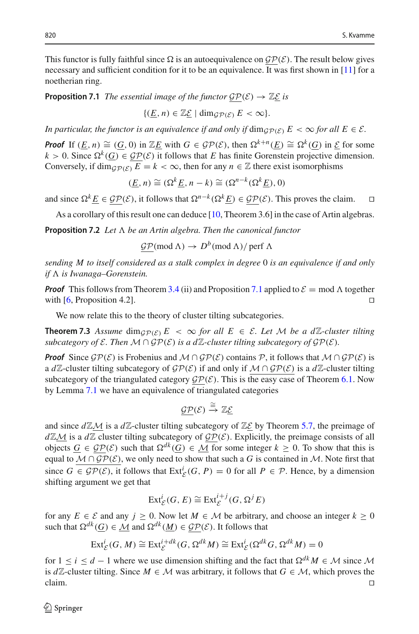This functor is fully faithful since  $\Omega$  is an autoequivalence on  $\mathcal{GP}(\mathcal{E})$ . The result below gives necessary and sufficient condition for it to be an equivalence. It was first shown in [\[11](#page-21-14)] for a noetherian ring.

<span id="page-17-1"></span>**Proposition 7.1** *The essential image of the functor*  $\mathcal{GP}(\mathcal{E}) \to \mathbb{Z}\mathcal{E}$  *is* 

 $\{(E, n) \in \mathbb{Z}\mathcal{E} \mid \dim_{\mathcal{GP}(\mathcal{E})} E < \infty\}.$ 

*In particular, the functor is an equivalence if and only if*  $\dim_{\mathcal{GP}(\mathcal{E})} E < \infty$  *for all*  $E \in \mathcal{E}$ *.* 

*Proof* If  $(E, n) \cong (G, 0)$  in  $\mathbb{Z}E$  with  $G \in \mathcal{GP}(\mathcal{E})$ , then  $\Omega^{k+n}(E) \cong \Omega^k(G)$  in  $\mathcal{E}$  for some  $k > 0$ . Since  $\Omega^k(G) \in \mathcal{GP}(\mathcal{E})$  it follows that *E* has finite Gorenstein projective dimension. Conversely, if  $\dim_{\mathcal{GP}(\mathcal{E})} E = k < \infty$ , then for any  $n \in \mathbb{Z}$  there exist isomorphisms

$$
(\underline{E}, n) \cong (\Omega^k \underline{E}, n - k) \cong (\Omega^{n-k} (\Omega^k \underline{E}), 0)
$$

and since  $\Omega^k E \in \mathcal{GP}(\mathcal{E})$ , it follows that  $\Omega^{n-k}(\Omega^k E) \in \mathcal{GP}(\mathcal{E})$ . This proves the claim. □

As a corollary of this result one can deduce [\[10](#page-21-29), Theorem 3.6] in the case of Artin algebras.

**Proposition 7.2** Let  $\Lambda$  be an Artin algebra. Then the canonical functor

 $\underline{\mathcal{GP}}(\text{mod }\Lambda) \to D^b(\text{mod }\Lambda)/\text{perf }\Lambda$ 

*sending M to itself considered as a stalk complex in degree* 0 *is an equivalence if and only if* - *is Iwanaga–Gorenstein.*

*Proof* This follows from Theorem [3.4](#page-6-0) (ii) and Proposition [7.1](#page-17-1) applied to  $\mathcal{E} = \text{mod } \Lambda$  together with [\[6](#page-20-8), Proposition 4.2].

<span id="page-17-0"></span>We now relate this to the theory of cluster tilting subcategories.

**Theorem 7.3** Assume  $\dim_{\mathcal{GP}(\mathcal{E})} E < \infty$  for all  $E \in \mathcal{E}$ . Let M be a dZ-cluster tilting *subcategory of*  $\mathcal{E}$ *. Then*  $\mathcal{M} \cap \mathcal{GP}(\mathcal{E})$  *is a d* $\mathbb{Z}$ *-cluster tilting subcategory of*  $\mathcal{GP}(\mathcal{E})$ *.* 

*Proof* Since  $\mathcal{GP}(\mathcal{E})$  is Frobenius and  $\mathcal{M} \cap \mathcal{GP}(\mathcal{E})$  contains  $\mathcal{P}$ , it follows that  $\mathcal{M} \cap \mathcal{GP}(\mathcal{E})$  is a *d* $\mathbb{Z}$ -cluster tilting subcategory of  $\mathcal{GP}(\mathcal{E})$  if and only if  $\mathcal{M} \cap \mathcal{GP}(\mathcal{E})$  is a *d* $\mathbb{Z}$ -cluster tilting subcategory of the triangulated category  $\mathcal{GP}(\mathcal{E})$ . This is the easy case of Theorem [6.1.](#page-13-1) Now by Lemma [7.1](#page-17-1) we have an equivalence of triangulated categories

$$
\underline{\mathcal{GP}}(\mathcal{E}) \stackrel{\cong}{\rightarrow} \mathbb{Z} \underline{\mathcal{E}}
$$

and since  $d\mathbb{Z}M$  is a  $d\mathbb{Z}$ -cluster tilting subcategory of  $\mathbb{Z}\mathcal{E}$  by Theorem [5.7,](#page-11-2) the preimage of  $d\mathbb{Z}M$  is a  $d\mathbb{Z}$  cluster tilting subcategory of  $\mathcal{GP}(\mathcal{E})$ . Explicitly, the preimage consists of all objects *G* ∈  $\mathcal{GP}(\mathcal{E})$  such that  $\Omega^{dk}(G)$  ∈  $\overline{\mathcal{M}}$  for some integer  $k \geq 0$ . To show that this is equal to  $M \cap \mathcal{GP}(\mathcal{E})$ , we only need to show that such a G is contained in M. Note first that since  $G \in \mathcal{GP}(\mathcal{E})$ , it follows that  $\text{Ext}^i_{\mathcal{E}}(G, P) = 0$  for all  $P \in \mathcal{P}$ . Hence, by a dimension shifting argument we get that

$$
\operatorname{Ext}^i_{\mathcal{E}}(G, E) \cong \operatorname{Ext}^{i+j}_{\mathcal{E}}(G, \Omega^j E)
$$

for any  $E \in \mathcal{E}$  and any  $j \ge 0$ . Now let  $M \in \mathcal{M}$  be arbitrary, and choose an integer  $k \ge 0$ such that  $\Omega^{dk}(G) \in \mathcal{M}$  and  $\Omega^{dk}(\underline{M}) \in \mathcal{GP}(\mathcal{E})$ . It follows that

$$
\operatorname{Ext}^i_{\mathcal{E}}(G, M) \cong \operatorname{Ext}^{i+dk}_{\mathcal{E}}(G, \Omega^{dk} M) \cong \operatorname{Ext}^i_{\mathcal{E}}(\Omega^{dk} G, \Omega^{dk} M) = 0
$$

for  $1 \leq i \leq d-1$  where we use dimension shifting and the fact that  $\Omega^{dk} M \in \mathcal{M}$  since M is *d* $\mathbb{Z}$ -cluster tilting. Since *M* ∈ *M* was arbitrary, it follows that *G* ∈ *M*, which proves the claim. claim.  $\Box$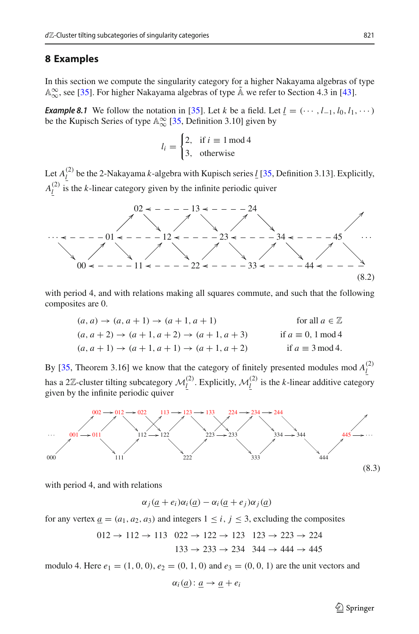### <span id="page-18-0"></span>**8 Examples**

<span id="page-18-2"></span>In this section we compute the singularity category for a higher Nakayama algebras of type  $\mathbb{A}_{\infty}^{\infty}$ , see [\[35\]](#page-21-8). For higher Nakayama algebras of type  $\tilde{\mathbb{A}}$  we refer to Section 4.3 in [\[43\]](#page-22-2).

*Example 8.1* We follow the notation in [\[35](#page-21-8)]. Let *k* be a field. Let  $\underline{l} = (\cdots, l_{-1}, l_0, l_1, \cdots)$ be the Kupisch Series of type  $\mathbb{A}_{\infty}^{\infty}$  [\[35](#page-21-8), Definition 3.10] given by

$$
l_i = \begin{cases} 2, & \text{if } i \equiv 1 \mod 4 \\ 3, & \text{otherwise} \end{cases}
$$

Let  $A_{\underline{l}}^{(2)}$  be the 2-Nakayama *k*-algebra with Kupisch series <u>*l*</u> [\[35](#page-21-8), Definition 3.13]. Explicitly,  $A_{\underline{l}}^{(2)}$  is the *k*-linear category given by the infinite periodic quiver



with period 4, and with relations making all squares commute, and such that the following composites are 0.

$$
(a, a) \rightarrow (a, a + 1) \rightarrow (a + 1, a + 1) \qquad \text{for all } a \in \mathbb{Z}
$$
  
\n
$$
(a, a + 2) \rightarrow (a + 1, a + 2) \rightarrow (a + 1, a + 3) \qquad \text{if } a \equiv 0, 1 \mod 4
$$
  
\n
$$
(a, a + 1) \rightarrow (a + 1, a + 1) \rightarrow (a + 1, a + 2) \qquad \text{if } a \equiv 3 \mod 4.
$$

By [\[35,](#page-21-8) Theorem 3.16] we know that the category of finitely presented modules mod  $A_{\underline{l}}^{(2)}$ has a 2 $\mathbb{Z}$ -cluster tilting subcategory  $\mathcal{M}_{\underline{l}}^{(2)}$ . Explicitly,  $\mathcal{M}_{\underline{l}}^{(2)}$  is the *k*-linear additive category given by the infinite periodic quiver

<span id="page-18-1"></span>

with period 4, and with relations

 $\alpha_i(a + e_i)\alpha_i(a) - \alpha_i(a + e_i)\alpha_i(a)$ 

for any vertex  $a = (a_1, a_2, a_3)$  and integers  $1 \le i, j \le 3$ , excluding the composites

$$
012 \rightarrow 112 \rightarrow 113 \quad 022 \rightarrow 122 \rightarrow 123 \quad 123 \rightarrow 223 \rightarrow 224
$$

$$
133 \rightarrow 233 \rightarrow 234 \quad 344 \rightarrow 444 \rightarrow 445
$$

modulo 4. Here  $e_1 = (1, 0, 0), e_2 = (0, 1, 0)$  and  $e_3 = (0, 0, 1)$  are the unit vectors and

$$
\alpha_i(\underline{a}) : \underline{a} \to \underline{a} + e_i
$$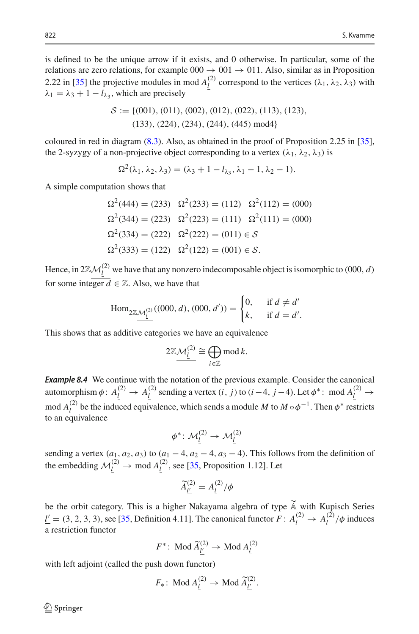is defined to be the unique arrow if it exists, and 0 otherwise. In particular, some of the relations are zero relations, for example  $000 \rightarrow 001 \rightarrow 011$ . Also, similar as in Proposition 2.22 in [\[35\]](#page-21-8) the projective modules in mod  $A^{(2)}_l$  correspond to the vertices ( $\lambda_1$ ,  $\lambda_2$ ,  $\lambda_3$ ) with  $\lambda_1 = \lambda_3 + 1 - l_{\lambda_3}$ , which are precisely

$$
S := \{ (001), (011), (002), (012), (022), (113), (123), (133), (224), (234), (244), (445) \text{ mod } 4 \}
$$

coloured in red in diagram [\(8.3\)](#page-18-1). Also, as obtained in the proof of Proposition 2.25 in [\[35\]](#page-21-8), the 2-syzygy of a non-projective object corresponding to a vertex  $(\lambda_1, \lambda_2, \lambda_3)$  is

$$
\Omega^{2}(\lambda_{1}, \lambda_{2}, \lambda_{3}) = (\lambda_{3} + 1 - l_{\lambda_{3}}, \lambda_{1} - 1, \lambda_{2} - 1).
$$

A simple computation shows that

$$
\Omega^2(444) = (233) \quad \Omega^2(233) = (112) \quad \Omega^2(112) = (000)
$$

$$
\Omega^2(344) = (223) \quad \Omega^2(223) = (111) \quad \Omega^2(111) = (000)
$$

$$
\Omega^2(334) = (222) \quad \Omega^2(222) = (011) \in S
$$

$$
\Omega^2(333) = (122) \quad \Omega^2(122) = (001) \in S.
$$

Hence, in  $2\mathbb{Z}M_{\ell}^{(2)}$  we have that any nonzero indecomposable object is isomorphic to (000, *d*) for some integer  $\overline{d} \in \mathbb{Z}$ . Also, we have that

Hom<sub>2Z M<sub>L</sub><sup>(2)</sup></sub>((000, d), (000, d')) = 
$$
\begin{cases} 0, & \text{if } d \neq d' \\ k, & \text{if } d = d'. \end{cases}
$$

This shows that as additive categories we have an equivalence

$$
2\mathbb{Z}\mathcal{M}_{\underline{l}}^{(2)} \cong \bigoplus_{i\in\mathbb{Z}} \text{mod } k.
$$

<span id="page-19-0"></span>*Example 8.4* We continue with the notation of the previous example. Consider the canonical automorphism  $\phi: A^{(2)}_l \to A^{(2)}_l$  sending a vertex  $(i, j)$  to  $(i-4, j-4)$ . Let  $\phi^*$ : mod  $A^{(2)}_l \to$ mod  $A_{\underline{l}}^{(2)}$  be the induced equivalence, which sends a module *M* to  $M \circ \phi^{-1}$ . Then  $\phi^*$  restricts to an equivalence

$$
\phi^*\colon \mathcal{M}_\underline{l}^{(2)} \to \mathcal{M}_\underline{l}^{(2)}
$$

sending a vertex  $(a_1, a_2, a_3)$  to  $(a_1 - 4, a_2 - 4, a_3 - 4)$ . This follows from the definition of the embedding  $M_{\underline{l}}^{(2)} \rightarrow$  mod  $A_{\underline{l}}^{(2)}$ , see [\[35,](#page-21-8) Proposition 1.12]. Let

$$
\widetilde{A}_{\underline{l'}}^{(2)} = A_{\underline{l}}^{(2)}/\phi
$$

be the orbit category. This is a higher Nakayama algebra of type  $\widetilde{A}$  with Kupisch Series  $l' = (3, 2, 3, 3)$ , see [\[35](#page-21-8), Definition 4.11]. The canonical functor  $F: A_{l}^{(2)} \to A_{l}^{(2)}/\phi$  induces a restriction functor

$$
F^* \colon \operatorname{Mod} \widetilde{A}_{\underline{l'}}^{(2)} \to \operatorname{Mod} A_{\underline{l}}^{(2)}
$$

with left adjoint (called the push down functor)

$$
F_*\colon \operatorname{Mod}\nolimits A^{(2)}_{\underline{l}} \to \operatorname{Mod}\nolimits \widetilde{A}^{(2)}_{\underline{l'}}.
$$

 $\circledcirc$  Springer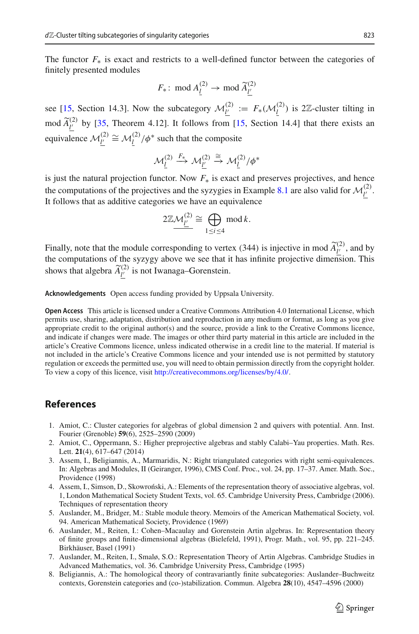The functor  $F_*$  is exact and restricts to a well-defined functor between the categories of finitely presented modules

$$
F_*\colon \bmod A_{\underline{l}}^{(2)} \to \bmod \widetilde{A}_{\underline{l'}}^{(2)}
$$

see [\[15](#page-21-30), Section 14.3]. Now the subcategory  $M_{\underline{l'}}^{(2)} := F_*(M_{\underline{l}}^{(2)})$  is 2Z-cluster tilting in mod  $\widetilde{A}_{\underline{l'}}^{(2)}$  by [\[35,](#page-21-8) Theorem 4.12]. It follows from [\[15](#page-21-30), Section 14.4] that there exists an equivalence  $\mathcal{M}_{\underline{l'}}^{(2)} \cong \mathcal{M}_{\underline{l'}}^{(2)}/\phi^*$  such that the composite

$$
\mathcal{M}_{\underline{l}}^{(2)} \xrightarrow{F_*} \mathcal{M}_{\underline{l'}}^{(2)} \xrightarrow{\cong} \mathcal{M}_{\underline{l}}^{(2)}/\phi^*
$$

is just the natural projection functor. Now *F*<sup>∗</sup> is exact and preserves projectives, and hence the computations of the projectives and the syzygies in Example [8.1](#page-18-2) are also valid for  $\mathcal{M}_{\underline{l'}}^{(2)}$ . It follows that as additive categories we have an equivalence

$$
2\mathbb{Z}\mathcal{M}_{\underline{l'}}^{(2)} \cong \bigoplus_{1 \leq i \leq 4} \operatorname{mod} k.
$$

Finally, note that the module corresponding to vertex (344) is injective in mod  $\widetilde{A}^{(2)}_{\underline{l}}$ , and by the computations of the syzygy above we see that it has infinite projective dimension. This shows that algebra  $\widetilde{A}^{(2)}_{\underline{l'}}$  is not Iwanaga–Gorenstein.

**Acknowledgements** Open access funding provided by Uppsala University.

**Open Access** This article is licensed under a Creative Commons Attribution 4.0 International License, which permits use, sharing, adaptation, distribution and reproduction in any medium or format, as long as you give appropriate credit to the original author(s) and the source, provide a link to the Creative Commons licence, and indicate if changes were made. The images or other third party material in this article are included in the article's Creative Commons licence, unless indicated otherwise in a credit line to the material. If material is not included in the article's Creative Commons licence and your intended use is not permitted by statutory regulation or exceeds the permitted use, you will need to obtain permission directly from the copyright holder. To view a copy of this licence, visit [http://creativecommons.org/licenses/by/4.0/.](http://creativecommons.org/licenses/by/4.0/)

## <span id="page-20-0"></span>**References**

- <span id="page-20-4"></span>1. Amiot, C.: Cluster categories for algebras of global dimension 2 and quivers with potential. Ann. Inst. Fourier (Grenoble) **59**(6), 2525–2590 (2009)
- <span id="page-20-3"></span>2. Amiot, C., Oppermann, S.: Higher preprojective algebras and stably Calabi–Yau properties. Math. Res. Lett. **21**(4), 617–647 (2014)
- <span id="page-20-6"></span>3. Assem, I., Beligiannis, A., Marmaridis, N.: Right triangulated categories with right semi-equivalences. In: Algebras and Modules, II (Geiranger, 1996), CMS Conf. Proc., vol. 24, pp. 17–37. Amer. Math. Soc., Providence (1998)
- <span id="page-20-2"></span>4. Assem, I., Simson, D., Skowroński, A.: Elements of the representation theory of associative algebras, vol. 1, London Mathematical Society Student Texts, vol. 65. Cambridge University Press, Cambridge (2006). Techniques of representation theory
- <span id="page-20-5"></span>5. Auslander, M., Bridger, M.: Stable module theory. Memoirs of the American Mathematical Society, vol. 94. American Mathematical Society, Providence (1969)
- <span id="page-20-8"></span>6. Auslander, M., Reiten, I.: Cohen–Macaulay and Gorenstein Artin algebras. In: Representation theory of finite groups and finite-dimensional algebras (Bielefeld, 1991), Progr. Math., vol. 95, pp. 221–245. Birkhäuser, Basel (1991)
- <span id="page-20-1"></span>7. Auslander, M., Reiten, I., Smalø, S.O.: Representation Theory of Artin Algebras. Cambridge Studies in Advanced Mathematics, vol. 36. Cambridge University Press, Cambridge (1995)
- <span id="page-20-7"></span>8. Beligiannis, A.: The homological theory of contravariantly finite subcategories: Auslander–Buchweitz contexts, Gorenstein categories and (co-)stabilization. Commun. Algebra **28**(10), 4547–4596 (2000)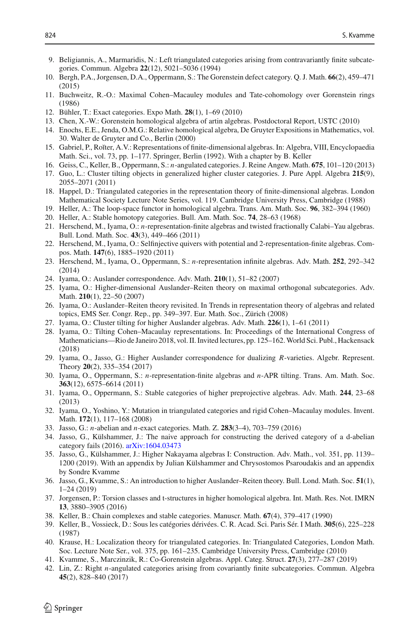- <span id="page-21-22"></span>9. Beligiannis, A., Marmaridis, N.: Left triangulated categories arising from contravariantly finite subcategories. Commun. Algebra **22**(12), 5021–5036 (1994)
- <span id="page-21-29"></span>10. Bergh, P.A., Jorgensen, D.A., Oppermann, S.: The Gorenstein defect category. Q. J. Math. **66**(2), 459–471 (2015)
- <span id="page-21-14"></span>11. Buchweitz, R.-O.: Maximal Cohen–Macauley modules and Tate-cohomology over Gorenstein rings (1986)
- <span id="page-21-17"></span>12. Bühler, T.: Exact categories. Expo Math. **28**(1), 1–69 (2010)
- <span id="page-21-27"></span>13. Chen, X.-W.: Gorenstein homological algebra of artin algebras. Postdoctoral Report, USTC (2010)
- <span id="page-21-28"></span>14. Enochs, E.E., Jenda, O.M.G.: Relative homological algebra, De Gruyter Expositions in Mathematics, vol. 30. Walter de Gruyter and Co., Berlin (2000)
- <span id="page-21-30"></span>15. Gabriel, P., Ro˘ıter, A.V.: Representations of finite-dimensional algebras. In: Algebra, VIII, Encyclopaedia Math. Sci., vol. 73, pp. 1–177. Springer, Berlin (1992). With a chapter by B. Keller
- <span id="page-21-3"></span>16. Geiss, C., Keller, B., Oppermann, S.: *n*-angulated categories. J. Reine Angew. Math. **675**, 101–120 (2013)
- <span id="page-21-12"></span>17. Guo, L.: Cluster tilting objects in generalized higher cluster categories. J. Pure Appl. Algebra **215**(9), 2055–2071 (2011)
- <span id="page-21-19"></span>18. Happel, D.: Triangulated categories in the representation theory of finite-dimensional algebras. London Mathematical Society Lecture Note Series, vol. 119. Cambridge University Press, Cambridge (1988)
- <span id="page-21-18"></span>19. Heller, A.: The loop-space functor in homological algebra. Trans. Am. Math. Soc. **96**, 382–394 (1960)
- <span id="page-21-24"></span>20. Heller, A.: Stable homotopy categories. Bull. Am. Math. Soc. **74**, 28–63 (1968)
- <span id="page-21-4"></span>21. Herschend, M., Iyama, O.: *n*-representation-finite algebras and twisted fractionally Calabi–Yau algebras. Bull. Lond. Math. Soc. **43**(3), 449–466 (2011)
- 22. Herschend, M., Iyama, O.: Selfinjective quivers with potential and 2-representation-finite algebras. Compos. Math. **147**(6), 1885–1920 (2011)
- <span id="page-21-5"></span>23. Herschend, M., Iyama, O., Oppermann, S.: *n*-representation infinite algebras. Adv. Math. **252**, 292–342 (2014)
- <span id="page-21-1"></span>24. Iyama, O.: Auslander correspondence. Adv. Math. **210**(1), 51–82 (2007)
- <span id="page-21-0"></span>25. Iyama, O.: Higher-dimensional Auslander–Reiten theory on maximal orthogonal subcategories. Adv. Math. **210**(1), 22–50 (2007)
- <span id="page-21-10"></span>26. Iyama, O.: Auslander–Reiten theory revisited. In Trends in representation theory of algebras and related topics, EMS Ser. Congr. Rep., pp. 349–397. Eur. Math. Soc., Zürich (2008)
- <span id="page-21-2"></span>27. Iyama, O.: Cluster tilting for higher Auslander algebras. Adv. Math. **226**(1), 1–61 (2011)
- <span id="page-21-15"></span>28. Iyama, O.: Tilting Cohen–Macaulay representations. In: Proceedings of the International Congress of Mathematicians—Rio de Janeiro 2018, vol. II. Invited lectures, pp. 125–162.World Sci. Publ., Hackensack (2018)
- <span id="page-21-6"></span>29. Iyama, O., Jasso, G.: Higher Auslander correspondence for dualizing *R*-varieties. Algebr. Represent. Theory **20**(2), 335–354 (2017)
- 30. Iyama, O., Oppermann, S.: *n*-representation-finite algebras and *n*-APR tilting. Trans. Am. Math. Soc. **363**(12), 6575–6614 (2011)
- 31. Iyama, O., Oppermann, S.: Stable categories of higher preprojective algebras. Adv. Math. **244**, 23–68 (2013)
- <span id="page-21-26"></span>32. Iyama, O., Yoshino, Y.: Mutation in triangulated categories and rigid Cohen–Macaulay modules. Invent. Math. **172**(1), 117–168 (2008)
- <span id="page-21-7"></span>33. Jasso, G.: *n*-abelian and *n*-exact categories. Math. Z. **283**(3–4), 703–759 (2016)
- <span id="page-21-13"></span>34. Jasso, G., Külshammer, J.: The naive approach for constructing the derived category of a d-abelian category fails (2016). [arXiv:1604.03473](http://arxiv.org/abs/1604.03473)
- <span id="page-21-8"></span>35. Jasso, G., Külshammer, J.: Higher Nakayama algebras I: Construction. Adv. Math., vol. 351, pp. 1139– 1200 (2019). With an appendix by Julian Külshammer and Chrysostomos Psaroudakis and an appendix by Sondre Kvamme
- <span id="page-21-11"></span>36. Jasso, G., Kvamme, S.: An introduction to higher Auslander–Reiten theory. Bull. Lond. Math. Soc. **51**(1), 1–24 (2019)
- <span id="page-21-9"></span>37. Jorgensen, P.: Torsion classes and t-structures in higher homological algebra. Int. Math. Res. Not. IMRN **13**, 3880–3905 (2016)
- <span id="page-21-21"></span>38. Keller, B.: Chain complexes and stable categories. Manuscr. Math. **67**(4), 379–417 (1990)
- <span id="page-21-16"></span>39. Keller, B., Vossieck, D.: Sous les catégories dérivées. C. R. Acad. Sci. Paris Sér. I Math. **305**(6), 225–228 (1987)
- <span id="page-21-25"></span>40. Krause, H.: Localization theory for triangulated categories. In: Triangulated Categories, London Math. Soc. Lecture Note Ser., vol. 375, pp. 161–235. Cambridge University Press, Cambridge (2010)
- <span id="page-21-20"></span>41. Kvamme, S., Marczinzik, R.: Co-Gorenstein algebras. Appl. Categ. Struct. **27**(3), 277–287 (2019)
- <span id="page-21-23"></span>42. Lin, Z.: Right *n*-angulated categories arising from covariantly finite subcategories. Commun. Algebra **45**(2), 828–840 (2017)